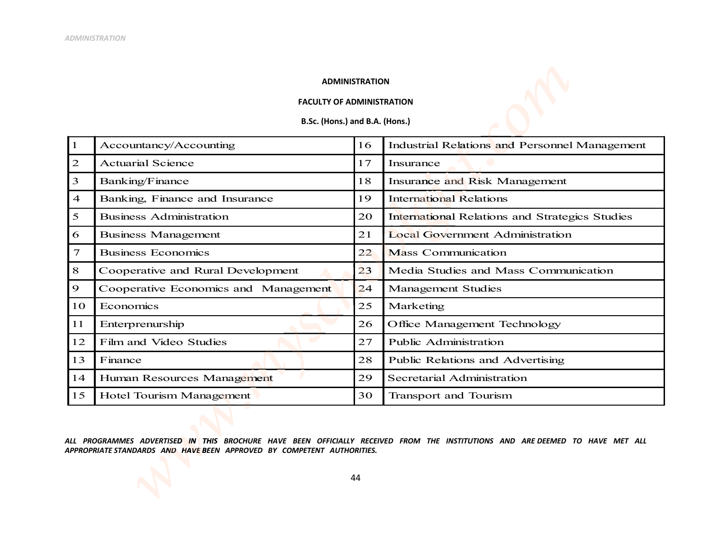## **ADMINISTRATION**

## **FACULTY OF ADMINISTRATION**

B.Sc. (Hons.) and B.A. (Hons.)

| $\mathbf{1}$   | Accountancy/Accounting               | 16 | Industrial Relations and Personnel Management  |
|----------------|--------------------------------------|----|------------------------------------------------|
| $\mathfrak{D}$ | <b>Actuarial Science</b>             | 17 | Insurance                                      |
| 3              | Banking/Finance                      | 18 | Insurance and Risk Management                  |
| $\overline{4}$ | Banking, Finance and Insurance       | 19 | <b>International Relations</b>                 |
| 5              | <b>Business Administration</b>       |    | International Relations and Strategics Studies |
| 6              | Business Management                  | 21 | <b>Local Government Administration</b>         |
| 7              | <b>Business Economics</b>            | 22 | <b>Mass Communication</b>                      |
| 8              | Cooperative and Rural Development    | 23 | Media Studies and Mass Communication           |
| 9              | Cooperative Economics and Management | 24 | Management Studies                             |
| 10             | Economics                            |    | Marketing                                      |
| 11             | Enterprenurship                      | 26 | Office Management Technology                   |
| 12             | Film and Video Studies               | 27 | <b>Public Administration</b>                   |
| 13             | Finance                              | 28 | Public Relations and Advertising               |
| 14             | Human Resources Management           | 29 | Secretarial Administration                     |
| 15             | Hotel Tourism Management             | 30 | <b>Transport and Tourism</b>                   |

ALL PROGRAMMES ADVERTISED IN THIS BROCHURE HAVE BEEN OFFICIALLY RECEIVED FROM THE INSTITUTIONS AND ARE DEEMED TO HAVE MET ALL APPROPRIATE STANDARDS AND HAVE BEEN APPROVED BY COMPETENT AUTHORITIES.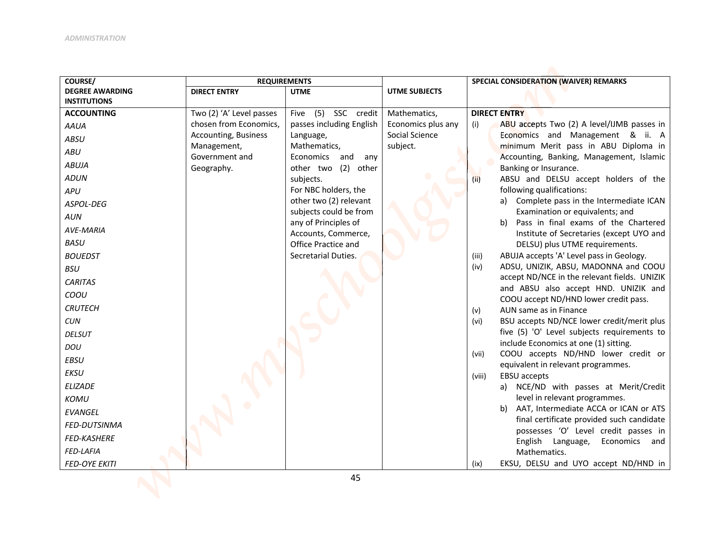| COURSE/                                  | <b>REQUIREMENTS</b>                                |                                                 |                                    | SPECIAL CONSIDERATION (WAIVER) REMARKS                                                |
|------------------------------------------|----------------------------------------------------|-------------------------------------------------|------------------------------------|---------------------------------------------------------------------------------------|
| <b>DEGREE AWARDING</b>                   | <b>DIRECT ENTRY</b>                                | <b>UTME</b>                                     | <b>UTME SUBJECTS</b>               |                                                                                       |
| <b>INSTITUTIONS</b><br><b>ACCOUNTING</b> |                                                    |                                                 |                                    | <b>DIRECT ENTRY</b>                                                                   |
|                                          | Two (2) 'A' Level passes<br>chosen from Economics, | Five (5) SSC credit<br>passes including English | Mathematics,<br>Economics plus any | ABU accepts Two (2) A level/IJMB passes in<br>(i)                                     |
| <b>AAUA</b>                              | Accounting, Business                               | Language,                                       | Social Science                     | Economics and Management & ii. A                                                      |
| <b>ABSU</b>                              | Management,                                        | Mathematics,                                    | subject.                           | minimum Merit pass in ABU Diploma in                                                  |
| ABU                                      | Government and                                     | Economics and<br>any                            |                                    | Accounting, Banking, Management, Islamic                                              |
| <b>ABUJA</b>                             | Geography.                                         | other two (2) other                             |                                    | Banking or Insurance.                                                                 |
| <b>ADUN</b>                              |                                                    | subjects.                                       |                                    | ABSU and DELSU accept holders of the<br>(ii)                                          |
| APU                                      |                                                    | For NBC holders, the                            |                                    | following qualifications:                                                             |
| ASPOL-DEG                                |                                                    | other two (2) relevant                          |                                    | a) Complete pass in the Intermediate ICAN                                             |
| AUN                                      |                                                    | subjects could be from                          |                                    | Examination or equivalents; and<br>Pass in final exams of the Chartered               |
| <b>AVE-MARIA</b>                         |                                                    | any of Principles of<br>Accounts, Commerce,     |                                    | b)<br>Institute of Secretaries (except UYO and                                        |
| <b>BASU</b>                              |                                                    | Office Practice and                             |                                    | DELSU) plus UTME requirements.                                                        |
| <b>BOUEDST</b>                           |                                                    | Secretarial Duties.                             |                                    | ABUJA accepts 'A' Level pass in Geology.<br>(iii)                                     |
| <b>BSU</b>                               |                                                    |                                                 |                                    | ADSU, UNIZIK, ABSU, MADONNA and COOU<br>(iv)                                          |
| <b>CARITAS</b>                           |                                                    |                                                 |                                    | accept ND/NCE in the relevant fields. UNIZIK                                          |
| COOU                                     |                                                    |                                                 |                                    | and ABSU also accept HND. UNIZIK and                                                  |
| <b>CRUTECH</b>                           |                                                    |                                                 |                                    | COOU accept ND/HND lower credit pass.                                                 |
| <b>CUN</b>                               |                                                    |                                                 |                                    | AUN same as in Finance<br>(v)<br>BSU accepts ND/NCE lower credit/merit plus<br>(vi)   |
| <b>DELSUT</b>                            |                                                    |                                                 |                                    | five (5) 'O' Level subjects requirements to                                           |
|                                          |                                                    |                                                 |                                    | include Economics at one (1) sitting.                                                 |
| <b>DOU</b>                               |                                                    |                                                 |                                    | COOU accepts ND/HND lower credit or<br>(vii)                                          |
| <b>EBSU</b>                              |                                                    |                                                 |                                    | equivalent in relevant programmes.                                                    |
| <b>EKSU</b>                              |                                                    |                                                 |                                    | EBSU accepts<br>(viii)                                                                |
| <b>ELIZADE</b>                           |                                                    |                                                 |                                    | a) NCE/ND with passes at Merit/Credit                                                 |
| KOMU                                     |                                                    |                                                 |                                    | level in relevant programmes.                                                         |
| <b>EVANGEL</b>                           |                                                    |                                                 |                                    | b) AAT, Intermediate ACCA or ICAN or ATS<br>final certificate provided such candidate |
| <b>FED-DUTSINMA</b>                      |                                                    |                                                 |                                    | possesses 'O' Level credit passes in                                                  |
| FED-KASHERE                              |                                                    |                                                 |                                    | English Language,<br>Economics and                                                    |
| FED-LAFIA                                |                                                    |                                                 |                                    | Mathematics.                                                                          |
| <b>FED-OYE EKITI</b>                     |                                                    |                                                 |                                    | EKSU, DELSU and UYO accept ND/HND in<br>(ix)                                          |
|                                          |                                                    | 45                                              |                                    |                                                                                       |
|                                          |                                                    |                                                 |                                    |                                                                                       |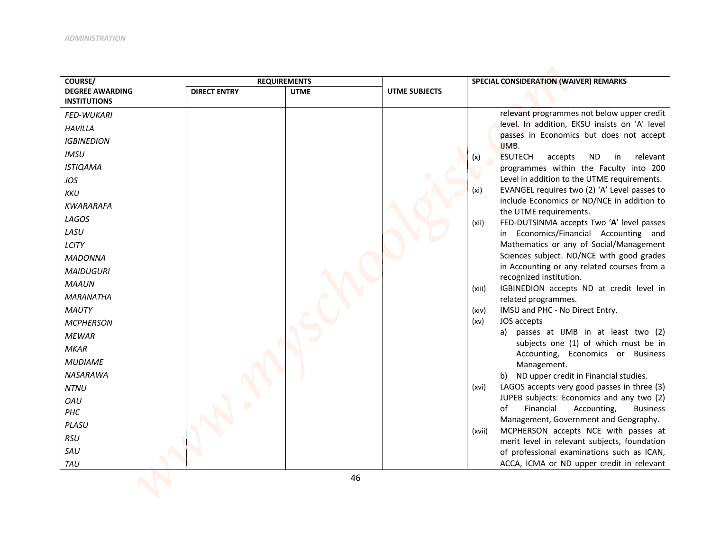| COURSE/                                       |                     | <b>REQUIREMENTS</b> |                      | SPECIAL CONSIDERATION (WAIVER) REMARKS                                                             |
|-----------------------------------------------|---------------------|---------------------|----------------------|----------------------------------------------------------------------------------------------------|
| <b>DEGREE AWARDING</b><br><b>INSTITUTIONS</b> | <b>DIRECT ENTRY</b> | <b>UTME</b>         | <b>UTME SUBJECTS</b> |                                                                                                    |
| <b>FED-WUKARI</b>                             |                     |                     |                      | relevant programmes not below upper credit                                                         |
| <b>HAVILLA</b>                                |                     |                     |                      | level. In addition, EKSU insists on 'A' level                                                      |
|                                               |                     |                     |                      | passes in Economics but does not accept                                                            |
| <b>IGBINEDION</b>                             |                     |                     |                      | IJMB.                                                                                              |
| <b>IMSU</b>                                   |                     |                     |                      | <b>ESUTECH</b><br><b>ND</b><br>relevant<br>accepts<br>in<br>(x)                                    |
| <b>ISTIQAMA</b>                               |                     |                     |                      | programmes within the Faculty into 200                                                             |
| JOS                                           |                     |                     |                      | Level in addition to the UTME requirements.                                                        |
| <b>KKU</b>                                    |                     |                     |                      | EVANGEL requires two (2) 'A' Level passes to<br>(xi)<br>include Economics or ND/NCE in addition to |
| <b>KWARARAFA</b>                              |                     |                     |                      | the UTME requirements.                                                                             |
| LAGOS                                         |                     |                     |                      | FED-DUTSINMA accepts Two 'A' level passes<br>(xii)                                                 |
| LASU                                          |                     |                     |                      | in Economics/Financial Accounting and                                                              |
| LCITY                                         |                     |                     |                      | Mathematics or any of Social/Management                                                            |
| <b>MADONNA</b>                                |                     |                     |                      | Sciences subject. ND/NCE with good grades                                                          |
| <b>MAIDUGURI</b>                              |                     |                     |                      | in Accounting or any related courses from a                                                        |
| <b>MAAUN</b>                                  |                     |                     |                      | recognized institution.                                                                            |
| <b>MARANATHA</b>                              |                     |                     |                      | IGBINEDION accepts ND at credit level in<br>(xiii)<br>related programmes.                          |
| <b>MAUTY</b>                                  |                     |                     |                      | IMSU and PHC - No Direct Entry.<br>(xiv)                                                           |
| <b>MCPHERSON</b>                              |                     |                     |                      | JOS accepts<br>(xv)                                                                                |
| <b>MEWAR</b>                                  |                     |                     |                      | a) passes at IJMB in at least two (2)                                                              |
| <b>MKAR</b>                                   |                     |                     |                      | subjects one (1) of which must be in                                                               |
| <b>MUDIAME</b>                                |                     |                     |                      | Accounting, Economics or Business                                                                  |
|                                               |                     |                     |                      | Management.                                                                                        |
| <b>NASARAWA</b>                               |                     |                     |                      | b) ND upper credit in Financial studies.                                                           |
| <b>NTNU</b>                                   |                     |                     |                      | LAGOS accepts very good passes in three (3)<br>(xvi)<br>JUPEB subjects: Economics and any two (2)  |
| <b>OAU</b>                                    |                     |                     |                      | Financial<br>of<br>Accounting,<br><b>Business</b>                                                  |
| PHC                                           |                     |                     |                      | Management, Government and Geography.                                                              |
| PLASU                                         |                     |                     |                      | MCPHERSON accepts NCE with passes at<br>(xvii)                                                     |
| <b>RSU</b>                                    |                     |                     |                      | merit level in relevant subjects, foundation                                                       |
| SAU                                           |                     |                     |                      | of professional examinations such as ICAN,                                                         |
| TAU                                           |                     |                     |                      | ACCA, ICMA or ND upper credit in relevant                                                          |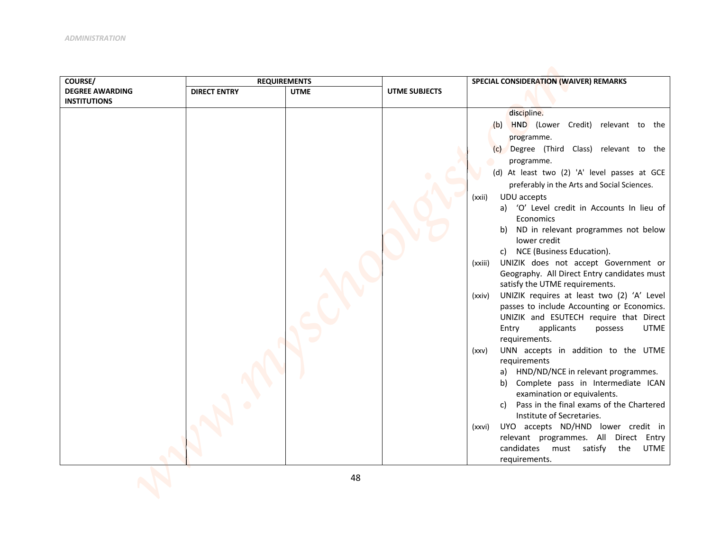| COURSE/                | <b>REQUIREMENTS</b> |             |               | SPECIAL CONSIDERATION (WAIVER) REMARKS                                                             |
|------------------------|---------------------|-------------|---------------|----------------------------------------------------------------------------------------------------|
| <b>DEGREE AWARDING</b> | <b>DIRECT ENTRY</b> | <b>UTME</b> | UTME SUBJECTS |                                                                                                    |
| <b>INSTITUTIONS</b>    |                     |             |               |                                                                                                    |
|                        |                     |             |               | discipline.                                                                                        |
|                        |                     |             |               | (b) HND (Lower Credit) relevant to the                                                             |
|                        |                     |             |               | programme.                                                                                         |
|                        |                     |             |               | Degree (Third Class) relevant to the<br>(c)                                                        |
|                        |                     |             |               | programme.                                                                                         |
|                        |                     |             |               | (d) At least two (2) 'A' level passes at GCE                                                       |
|                        |                     |             |               | preferably in the Arts and Social Sciences.                                                        |
|                        |                     |             |               | UDU accepts<br>(xxii)                                                                              |
|                        |                     |             |               | a) 'O' Level credit in Accounts In lieu of<br>Economics                                            |
|                        |                     |             |               | ND in relevant programmes not below<br>b)                                                          |
|                        |                     |             |               | lower credit                                                                                       |
|                        |                     |             |               | c) NCE (Business Education).                                                                       |
|                        |                     |             |               | UNIZIK does not accept Government or<br>(xxiii)                                                    |
|                        |                     |             |               | Geography. All Direct Entry candidates must                                                        |
|                        |                     |             |               | satisfy the UTME requirements.                                                                     |
|                        |                     |             |               | UNIZIK requires at least two (2) 'A' Level<br>(xxiv)<br>passes to include Accounting or Economics. |
|                        |                     |             |               | UNIZIK and ESUTECH require that Direct                                                             |
|                        |                     |             |               | <b>UTME</b><br>applicants<br>Entry<br>possess                                                      |
|                        |                     |             |               | requirements.                                                                                      |
|                        |                     |             |               | UNN accepts in addition to the UTME<br>(xxv)                                                       |
|                        |                     |             |               | requirements                                                                                       |
|                        |                     |             |               | a) HND/ND/NCE in relevant programmes.                                                              |
|                        |                     |             |               | Complete pass in Intermediate ICAN<br>b)                                                           |
|                        |                     |             |               | examination or equivalents.<br>Pass in the final exams of the Chartered<br>C)                      |
|                        |                     |             |               | Institute of Secretaries.                                                                          |
|                        |                     |             |               | UYO accepts ND/HND lower credit in<br>(xxvi)                                                       |
|                        |                     |             |               | relevant programmes. All Direct Entry                                                              |
|                        |                     |             |               | candidates must<br>satisfy<br>UTME<br>the                                                          |
|                        |                     |             |               | requirements.                                                                                      |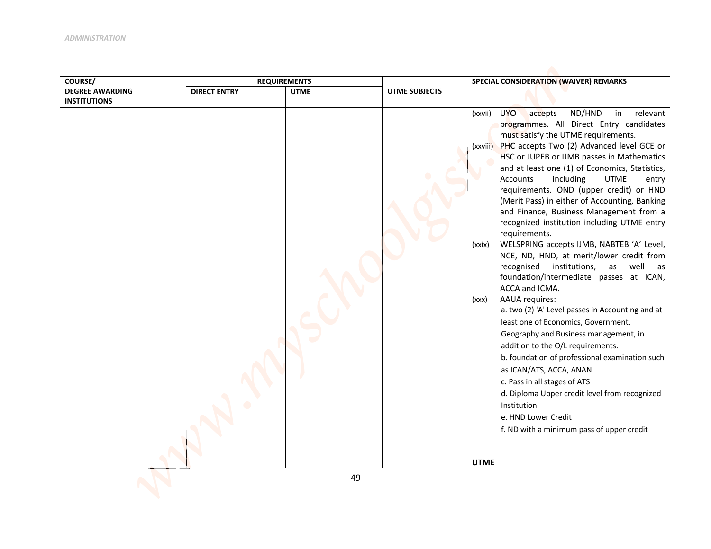| COURSE/                | <b>REQUIREMENTS</b> |             |                      | SPECIAL CONSIDERATION (WAIVER) REMARKS                                                                                                                                                                                                                                                                                                                                                                                                                                                                                                                                                                                                                                                                                                                                                                                                                                                                                                                                                                                                                                                                                                                                                                                                                     |
|------------------------|---------------------|-------------|----------------------|------------------------------------------------------------------------------------------------------------------------------------------------------------------------------------------------------------------------------------------------------------------------------------------------------------------------------------------------------------------------------------------------------------------------------------------------------------------------------------------------------------------------------------------------------------------------------------------------------------------------------------------------------------------------------------------------------------------------------------------------------------------------------------------------------------------------------------------------------------------------------------------------------------------------------------------------------------------------------------------------------------------------------------------------------------------------------------------------------------------------------------------------------------------------------------------------------------------------------------------------------------|
| <b>DEGREE AWARDING</b> | <b>DIRECT ENTRY</b> | <b>UTME</b> | <b>UTME SUBJECTS</b> |                                                                                                                                                                                                                                                                                                                                                                                                                                                                                                                                                                                                                                                                                                                                                                                                                                                                                                                                                                                                                                                                                                                                                                                                                                                            |
| <b>INSTITUTIONS</b>    |                     |             |                      | <b>UYO</b><br>ND/HND<br>relevant<br>accepts<br>in<br>(xxvii)<br>programmes. All Direct Entry candidates<br>must satisfy the UTME requirements.<br>PHC accepts Two (2) Advanced level GCE or<br>(xxviii)<br>HSC or JUPEB or IJMB passes in Mathematics<br>and at least one (1) of Economics, Statistics,<br>Accounts<br>including<br><b>UTME</b><br>entry<br>requirements. OND (upper credit) or HND<br>(Merit Pass) in either of Accounting, Banking<br>and Finance, Business Management from a<br>recognized institution including UTME entry<br>requirements.<br>WELSPRING accepts IJMB, NABTEB 'A' Level,<br>(xxix)<br>NCE, ND, HND, at merit/lower credit from<br>recognised institutions,<br>well<br>as<br>as<br>foundation/intermediate passes at ICAN,<br>ACCA and ICMA.<br><b>AAUA</b> requires:<br>(xxx)<br>a. two (2) 'A' Level passes in Accounting and at<br>least one of Economics, Government,<br>Geography and Business management, in<br>addition to the O/L requirements.<br>b. foundation of professional examination such<br>as ICAN/ATS, ACCA, ANAN<br>c. Pass in all stages of ATS<br>d. Diploma Upper credit level from recognized<br>Institution<br>e. HND Lower Credit<br>f. ND with a minimum pass of upper credit<br><b>UTME</b> |
|                        |                     | 49          |                      |                                                                                                                                                                                                                                                                                                                                                                                                                                                                                                                                                                                                                                                                                                                                                                                                                                                                                                                                                                                                                                                                                                                                                                                                                                                            |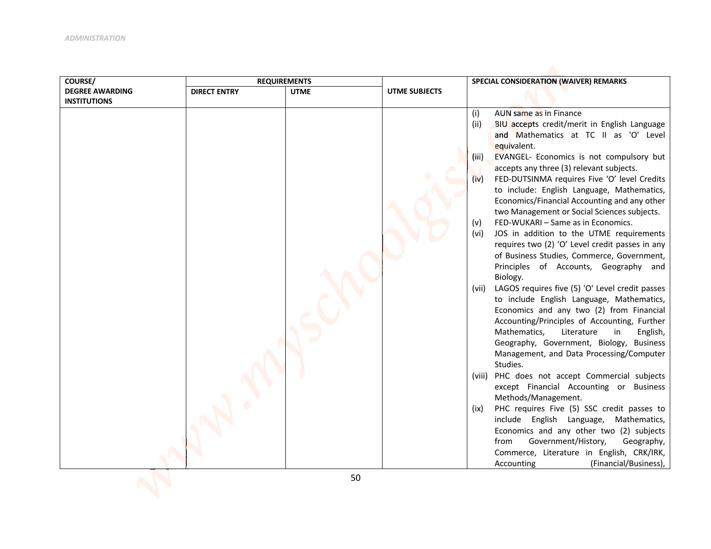| COURSE/                | <b>REQUIREMENTS</b> |             |                      | SPECIAL CONSIDERATION (WAIVER) REMARKS                      |
|------------------------|---------------------|-------------|----------------------|-------------------------------------------------------------|
| <b>DEGREE AWARDING</b> | <b>DIRECT ENTRY</b> | <b>UTME</b> | <b>UTME SUBJECTS</b> |                                                             |
| <b>INSTITUTIONS</b>    |                     |             |                      |                                                             |
|                        |                     |             |                      | AUN same as in Finance<br>(i)                               |
|                        |                     |             |                      | BIU accepts credit/merit in English Language<br>(ii)        |
|                        |                     |             |                      | and Mathematics at TC II as 'O' Level                       |
|                        |                     |             |                      | equivalent.                                                 |
|                        |                     |             |                      | EVANGEL- Economics is not compulsory but<br>(iii)           |
|                        |                     |             |                      | accepts any three (3) relevant subjects.                    |
|                        |                     |             |                      | FED-DUTSINMA requires Five 'O' level Credits<br>(iv)        |
|                        |                     |             |                      | to include: English Language, Mathematics,                  |
|                        |                     |             |                      | Economics/Financial Accounting and any other                |
|                        |                     |             |                      | two Management or Social Sciences subjects.                 |
|                        |                     |             |                      | FED-WUKARI - Same as in Economics.<br>(v)                   |
|                        |                     |             |                      | JOS in addition to the UTME requirements<br>(vi)            |
|                        |                     |             |                      | requires two (2) 'O' Level credit passes in any             |
|                        |                     |             |                      | of Business Studies, Commerce, Government,                  |
|                        |                     |             |                      | Principles of Accounts, Geography and                       |
|                        |                     |             |                      | Biology.<br>LAGOS requires five (5) 'O' Level credit passes |
|                        |                     |             |                      | (vii)<br>to include English Language, Mathematics,          |
|                        |                     |             |                      | Economics and any two (2) from Financial                    |
|                        |                     |             |                      | Accounting/Principles of Accounting, Further                |
|                        |                     |             |                      | Mathematics,<br>Literature<br>English,<br>in                |
|                        |                     |             |                      | Geography, Government, Biology, Business                    |
|                        |                     |             |                      | Management, and Data Processing/Computer                    |
|                        |                     |             |                      | Studies.                                                    |
|                        |                     |             |                      | PHC does not accept Commercial subjects<br>(viii)           |
|                        |                     |             |                      | except Financial Accounting or Business                     |
|                        |                     |             |                      | Methods/Management.                                         |
|                        |                     |             |                      | PHC requires Five (5) SSC credit passes to<br>(ix)          |
|                        |                     |             |                      | include English Language, Mathematics,                      |
|                        |                     |             |                      | Economics and any other two (2) subjects                    |
|                        |                     |             |                      | Government/History,<br>from<br>Geography,                   |
|                        |                     |             |                      | Commerce, Literature in English, CRK/IRK,                   |
|                        |                     |             |                      | (Financial/Business),<br>Accounting                         |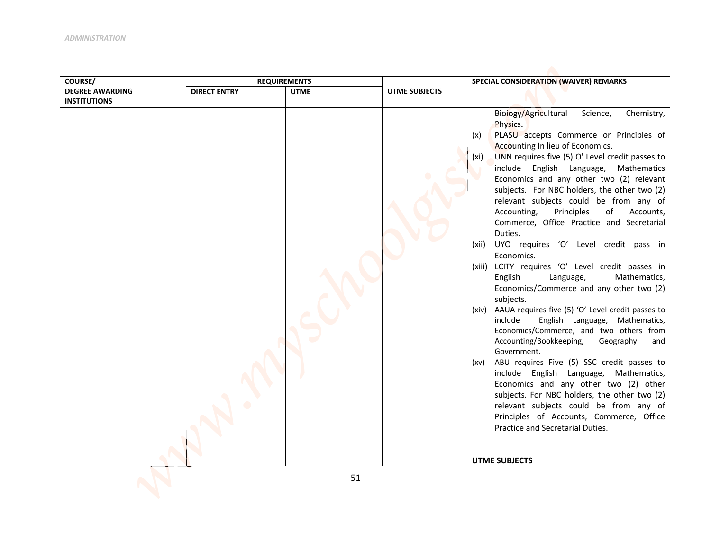| COURSE/                | <b>REQUIREMENTS</b> |             |               | SPECIAL CONSIDERATION (WAIVER) REMARKS                                                                                                                                                                                                                                                                                                                                                                                                                                                                                                                                                                                                                                                                                                                                                                                                                                                                                                                                                                                                                                                                                                                                                                                                                                                    |
|------------------------|---------------------|-------------|---------------|-------------------------------------------------------------------------------------------------------------------------------------------------------------------------------------------------------------------------------------------------------------------------------------------------------------------------------------------------------------------------------------------------------------------------------------------------------------------------------------------------------------------------------------------------------------------------------------------------------------------------------------------------------------------------------------------------------------------------------------------------------------------------------------------------------------------------------------------------------------------------------------------------------------------------------------------------------------------------------------------------------------------------------------------------------------------------------------------------------------------------------------------------------------------------------------------------------------------------------------------------------------------------------------------|
| <b>DEGREE AWARDING</b> | <b>DIRECT ENTRY</b> | <b>UTME</b> | UTME SUBJECTS |                                                                                                                                                                                                                                                                                                                                                                                                                                                                                                                                                                                                                                                                                                                                                                                                                                                                                                                                                                                                                                                                                                                                                                                                                                                                                           |
| <b>INSTITUTIONS</b>    |                     |             |               | Biology/Agricultural<br>Science,<br>Chemistry,<br>Physics.<br>PLASU accepts Commerce or Principles of<br>(x)<br>Accounting In lieu of Economics.<br>UNN requires five (5) O' Level credit passes to<br>(xi)<br>include English Language, Mathematics<br>Economics and any other two (2) relevant<br>subjects. For NBC holders, the other two (2)<br>relevant subjects could be from any of<br>Accounting,<br>Principles<br>of<br>Accounts,<br>Commerce, Office Practice and Secretarial<br>Duties.<br>UYO requires 'O' Level credit pass in<br>(xii)<br>Economics.<br>LCITY requires 'O' Level credit passes in<br>(xiii)<br>English<br>Language,<br>Mathematics,<br>Economics/Commerce and any other two (2)<br>subjects.<br>AAUA requires five (5) 'O' Level credit passes to<br>(xiv)<br>include<br>English Language, Mathematics,<br>Economics/Commerce, and two others from<br>Accounting/Bookkeeping,<br>Geography<br>and<br>Government.<br>ABU requires Five (5) SSC credit passes to<br>(xv)<br>include English Language, Mathematics,<br>Economics and any other two (2) other<br>subjects. For NBC holders, the other two (2)<br>relevant subjects could be from any of<br>Principles of Accounts, Commerce, Office<br>Practice and Secretarial Duties.<br><b>UTME SUBJECTS</b> |
|                        |                     |             |               |                                                                                                                                                                                                                                                                                                                                                                                                                                                                                                                                                                                                                                                                                                                                                                                                                                                                                                                                                                                                                                                                                                                                                                                                                                                                                           |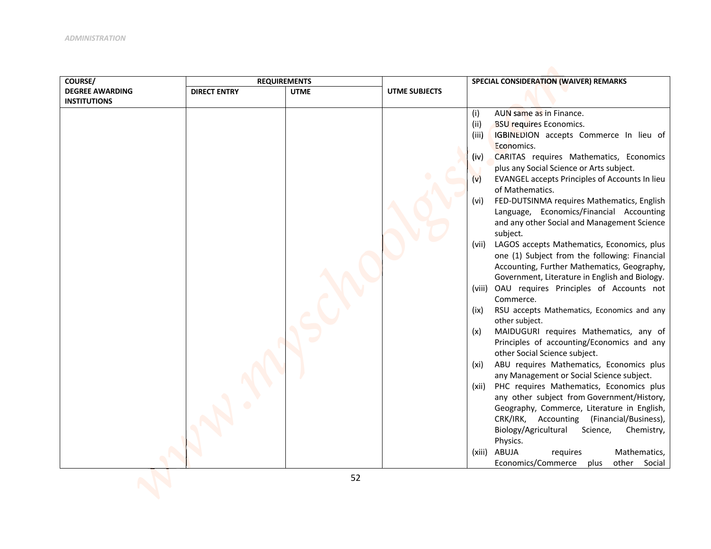| <b>DEGREE AWARDING</b><br><b>DIRECT ENTRY</b><br><b>UTME</b><br><b>UTME SUBJECTS</b><br><b>INSTITUTIONS</b><br>(i)<br>AUN same as in Finance.<br>(ii)<br><b>BSU requires Economics.</b><br>IGBINEDION accepts Commerce In lieu of<br>(iii)<br>Economics.<br>CARITAS requires Mathematics, Economics<br>(iv)<br>plus any Social Science or Arts subject.<br>EVANGEL accepts Principles of Accounts In lieu<br>(v)<br>of Mathematics.<br>FED-DUTSINMA requires Mathematics, English<br>(vi)<br>Language, Economics/Financial Accounting<br>and any other Social and Management Science<br>subject.<br>LAGOS accepts Mathematics, Economics, plus<br>(vii)<br>one (1) Subject from the following: Financial<br>Accounting, Further Mathematics, Geography,<br>Government, Literature in English and Biology.<br>(viii) OAU requires Principles of Accounts not<br>Commerce.<br>RSU accepts Mathematics, Economics and any<br>(ix)<br>other subject.<br>MAIDUGURI requires Mathematics, any of<br>(x)<br>Principles of accounting/Economics and any<br>other Social Science subject.<br>ABU requires Mathematics, Economics plus<br>(xi)<br>any Management or Social Science subject. | COURSE/ | <b>REQUIREMENTS</b> |  | SPECIAL CONSIDERATION (WAIVER) REMARKS            |
|-----------------------------------------------------------------------------------------------------------------------------------------------------------------------------------------------------------------------------------------------------------------------------------------------------------------------------------------------------------------------------------------------------------------------------------------------------------------------------------------------------------------------------------------------------------------------------------------------------------------------------------------------------------------------------------------------------------------------------------------------------------------------------------------------------------------------------------------------------------------------------------------------------------------------------------------------------------------------------------------------------------------------------------------------------------------------------------------------------------------------------------------------------------------------------------|---------|---------------------|--|---------------------------------------------------|
|                                                                                                                                                                                                                                                                                                                                                                                                                                                                                                                                                                                                                                                                                                                                                                                                                                                                                                                                                                                                                                                                                                                                                                                   |         |                     |  |                                                   |
|                                                                                                                                                                                                                                                                                                                                                                                                                                                                                                                                                                                                                                                                                                                                                                                                                                                                                                                                                                                                                                                                                                                                                                                   |         |                     |  |                                                   |
|                                                                                                                                                                                                                                                                                                                                                                                                                                                                                                                                                                                                                                                                                                                                                                                                                                                                                                                                                                                                                                                                                                                                                                                   |         |                     |  |                                                   |
|                                                                                                                                                                                                                                                                                                                                                                                                                                                                                                                                                                                                                                                                                                                                                                                                                                                                                                                                                                                                                                                                                                                                                                                   |         |                     |  |                                                   |
|                                                                                                                                                                                                                                                                                                                                                                                                                                                                                                                                                                                                                                                                                                                                                                                                                                                                                                                                                                                                                                                                                                                                                                                   |         |                     |  |                                                   |
|                                                                                                                                                                                                                                                                                                                                                                                                                                                                                                                                                                                                                                                                                                                                                                                                                                                                                                                                                                                                                                                                                                                                                                                   |         |                     |  |                                                   |
|                                                                                                                                                                                                                                                                                                                                                                                                                                                                                                                                                                                                                                                                                                                                                                                                                                                                                                                                                                                                                                                                                                                                                                                   |         |                     |  |                                                   |
|                                                                                                                                                                                                                                                                                                                                                                                                                                                                                                                                                                                                                                                                                                                                                                                                                                                                                                                                                                                                                                                                                                                                                                                   |         |                     |  |                                                   |
|                                                                                                                                                                                                                                                                                                                                                                                                                                                                                                                                                                                                                                                                                                                                                                                                                                                                                                                                                                                                                                                                                                                                                                                   |         |                     |  |                                                   |
|                                                                                                                                                                                                                                                                                                                                                                                                                                                                                                                                                                                                                                                                                                                                                                                                                                                                                                                                                                                                                                                                                                                                                                                   |         |                     |  |                                                   |
|                                                                                                                                                                                                                                                                                                                                                                                                                                                                                                                                                                                                                                                                                                                                                                                                                                                                                                                                                                                                                                                                                                                                                                                   |         |                     |  |                                                   |
|                                                                                                                                                                                                                                                                                                                                                                                                                                                                                                                                                                                                                                                                                                                                                                                                                                                                                                                                                                                                                                                                                                                                                                                   |         |                     |  |                                                   |
|                                                                                                                                                                                                                                                                                                                                                                                                                                                                                                                                                                                                                                                                                                                                                                                                                                                                                                                                                                                                                                                                                                                                                                                   |         |                     |  |                                                   |
|                                                                                                                                                                                                                                                                                                                                                                                                                                                                                                                                                                                                                                                                                                                                                                                                                                                                                                                                                                                                                                                                                                                                                                                   |         |                     |  |                                                   |
|                                                                                                                                                                                                                                                                                                                                                                                                                                                                                                                                                                                                                                                                                                                                                                                                                                                                                                                                                                                                                                                                                                                                                                                   |         |                     |  |                                                   |
|                                                                                                                                                                                                                                                                                                                                                                                                                                                                                                                                                                                                                                                                                                                                                                                                                                                                                                                                                                                                                                                                                                                                                                                   |         |                     |  |                                                   |
|                                                                                                                                                                                                                                                                                                                                                                                                                                                                                                                                                                                                                                                                                                                                                                                                                                                                                                                                                                                                                                                                                                                                                                                   |         |                     |  |                                                   |
|                                                                                                                                                                                                                                                                                                                                                                                                                                                                                                                                                                                                                                                                                                                                                                                                                                                                                                                                                                                                                                                                                                                                                                                   |         |                     |  |                                                   |
|                                                                                                                                                                                                                                                                                                                                                                                                                                                                                                                                                                                                                                                                                                                                                                                                                                                                                                                                                                                                                                                                                                                                                                                   |         |                     |  |                                                   |
|                                                                                                                                                                                                                                                                                                                                                                                                                                                                                                                                                                                                                                                                                                                                                                                                                                                                                                                                                                                                                                                                                                                                                                                   |         |                     |  |                                                   |
|                                                                                                                                                                                                                                                                                                                                                                                                                                                                                                                                                                                                                                                                                                                                                                                                                                                                                                                                                                                                                                                                                                                                                                                   |         |                     |  |                                                   |
|                                                                                                                                                                                                                                                                                                                                                                                                                                                                                                                                                                                                                                                                                                                                                                                                                                                                                                                                                                                                                                                                                                                                                                                   |         |                     |  |                                                   |
|                                                                                                                                                                                                                                                                                                                                                                                                                                                                                                                                                                                                                                                                                                                                                                                                                                                                                                                                                                                                                                                                                                                                                                                   |         |                     |  |                                                   |
|                                                                                                                                                                                                                                                                                                                                                                                                                                                                                                                                                                                                                                                                                                                                                                                                                                                                                                                                                                                                                                                                                                                                                                                   |         |                     |  |                                                   |
|                                                                                                                                                                                                                                                                                                                                                                                                                                                                                                                                                                                                                                                                                                                                                                                                                                                                                                                                                                                                                                                                                                                                                                                   |         |                     |  |                                                   |
|                                                                                                                                                                                                                                                                                                                                                                                                                                                                                                                                                                                                                                                                                                                                                                                                                                                                                                                                                                                                                                                                                                                                                                                   |         |                     |  |                                                   |
|                                                                                                                                                                                                                                                                                                                                                                                                                                                                                                                                                                                                                                                                                                                                                                                                                                                                                                                                                                                                                                                                                                                                                                                   |         |                     |  | PHC requires Mathematics, Economics plus<br>(xii) |
| any other subject from Government/History,                                                                                                                                                                                                                                                                                                                                                                                                                                                                                                                                                                                                                                                                                                                                                                                                                                                                                                                                                                                                                                                                                                                                        |         |                     |  |                                                   |
| Geography, Commerce, Literature in English,<br>CRK/IRK, Accounting (Financial/Business),                                                                                                                                                                                                                                                                                                                                                                                                                                                                                                                                                                                                                                                                                                                                                                                                                                                                                                                                                                                                                                                                                          |         |                     |  |                                                   |
| Biology/Agricultural<br>Science,<br>Chemistry,                                                                                                                                                                                                                                                                                                                                                                                                                                                                                                                                                                                                                                                                                                                                                                                                                                                                                                                                                                                                                                                                                                                                    |         |                     |  |                                                   |
| Physics.                                                                                                                                                                                                                                                                                                                                                                                                                                                                                                                                                                                                                                                                                                                                                                                                                                                                                                                                                                                                                                                                                                                                                                          |         |                     |  |                                                   |
| ABUJA<br>Mathematics,<br>(xiii)<br>requires                                                                                                                                                                                                                                                                                                                                                                                                                                                                                                                                                                                                                                                                                                                                                                                                                                                                                                                                                                                                                                                                                                                                       |         |                     |  |                                                   |
| Economics/Commerce<br>other<br>Social<br>plus                                                                                                                                                                                                                                                                                                                                                                                                                                                                                                                                                                                                                                                                                                                                                                                                                                                                                                                                                                                                                                                                                                                                     |         |                     |  |                                                   |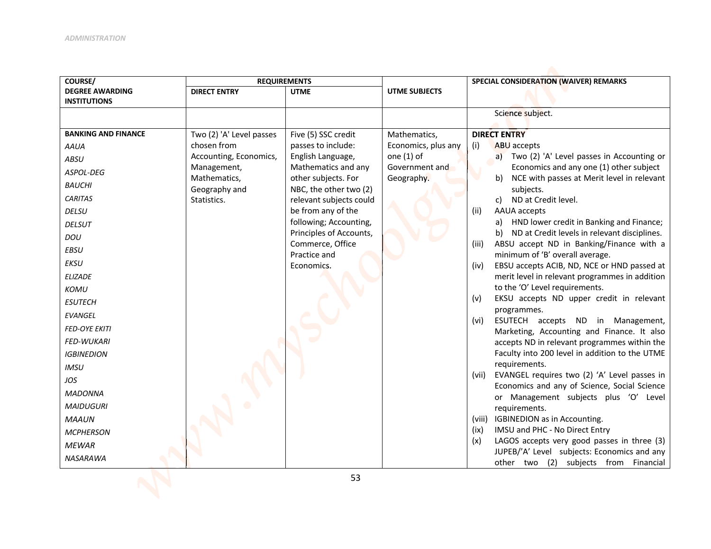| COURSE/                                       |                              | <b>REQUIREMENTS</b>                               |                      | SPECIAL CONSIDERATION (WAIVER) REMARKS                                                                |
|-----------------------------------------------|------------------------------|---------------------------------------------------|----------------------|-------------------------------------------------------------------------------------------------------|
| <b>DEGREE AWARDING</b><br><b>INSTITUTIONS</b> | <b>DIRECT ENTRY</b>          | <b>UTME</b>                                       | <b>UTME SUBJECTS</b> |                                                                                                       |
|                                               |                              |                                                   |                      | Science subject.                                                                                      |
|                                               |                              |                                                   |                      |                                                                                                       |
| <b>BANKING AND FINANCE</b>                    | Two (2) 'A' Level passes     | Five (5) SSC credit                               | Mathematics,         | <b>DIRECT ENTRY</b>                                                                                   |
| <b>AAUA</b>                                   | chosen from                  | passes to include:                                | Economics, plus any  | (i)<br>ABU accepts                                                                                    |
| <b>ABSU</b>                                   | Accounting, Economics,       | English Language,                                 | one $(1)$ of         | a) Two (2) 'A' Level passes in Accounting or                                                          |
| ASPOL-DEG                                     | Management,                  | Mathematics and any                               | Government and       | Economics and any one (1) other subject                                                               |
| <b>BAUCHI</b>                                 | Mathematics,                 | other subjects. For                               | Geography.           | NCE with passes at Merit level in relevant<br>b)<br>subjects.                                         |
| <b>CARITAS</b>                                | Geography and<br>Statistics. | NBC, the other two (2)<br>relevant subjects could |                      | ND at Credit level.<br>c)                                                                             |
| <b>DELSU</b>                                  |                              | be from any of the                                |                      | AAUA accepts<br>(ii)                                                                                  |
| <b>DELSUT</b>                                 |                              | following; Accounting,                            |                      | a) HND lower credit in Banking and Finance;                                                           |
| DOU                                           |                              | Principles of Accounts,                           |                      | b) ND at Credit levels in relevant disciplines.                                                       |
| <b>EBSU</b>                                   |                              | Commerce, Office                                  |                      | ABSU accept ND in Banking/Finance with a<br>(iii)                                                     |
| <b>EKSU</b>                                   |                              | Practice and                                      |                      | minimum of 'B' overall average.                                                                       |
| <b>ELIZADE</b>                                |                              | Economics.                                        |                      | EBSU accepts ACIB, ND, NCE or HND passed at<br>(iv)                                                   |
|                                               |                              |                                                   |                      | merit level in relevant programmes in addition<br>to the 'O' Level requirements.                      |
| KOMU                                          |                              |                                                   |                      | EKSU accepts ND upper credit in relevant<br>(v)                                                       |
| <b>ESUTECH</b>                                |                              |                                                   |                      | programmes.                                                                                           |
| <b>EVANGEL</b>                                |                              |                                                   |                      | ESUTECH accepts ND in Management,<br>(vi)                                                             |
| <b>FED-OYE EKITI</b>                          |                              |                                                   |                      | Marketing, Accounting and Finance. It also                                                            |
| <b>FED-WUKARI</b>                             |                              |                                                   |                      | accepts ND in relevant programmes within the                                                          |
| <b>IGBINEDION</b>                             |                              |                                                   |                      | Faculty into 200 level in addition to the UTME                                                        |
| <b>IMSU</b>                                   |                              |                                                   |                      | requirements.                                                                                         |
| JOS                                           |                              |                                                   |                      | EVANGEL requires two (2) 'A' Level passes in<br>(vii)<br>Economics and any of Science, Social Science |
| <b>MADONNA</b>                                |                              |                                                   |                      | or Management subjects plus 'O' Level                                                                 |
| <b>MAIDUGURI</b>                              |                              |                                                   |                      | requirements.                                                                                         |
| <b>MAAUN</b>                                  |                              |                                                   |                      | (viii) IGBINEDION as in Accounting.                                                                   |
| <b>MCPHERSON</b>                              |                              |                                                   |                      | IMSU and PHC - No Direct Entry<br>(ix)                                                                |
| <b>MEWAR</b>                                  |                              |                                                   |                      | LAGOS accepts very good passes in three (3)<br>(x)                                                    |
| NASARAWA                                      |                              |                                                   |                      | JUPEB/'A' Level subjects: Economics and any                                                           |
|                                               |                              |                                                   |                      | other two (2)<br>subjects from<br>Financial                                                           |
|                                               |                              | 53                                                |                      |                                                                                                       |
|                                               |                              |                                                   |                      |                                                                                                       |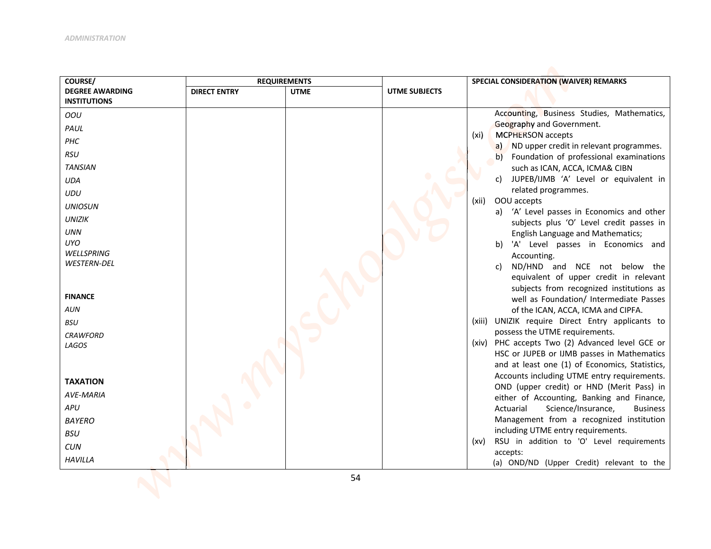| COURSE/                                                                                                                                                                                                                                                                                                                                                     | <b>REQUIREMENTS</b> |             |                      | SPECIAL CONSIDERATION (WAIVER) REMARKS                                                                                                                                                                                                                                                                                                                                                                                                                                                                                                                                                                                                                                                                                                                                                                                                                                                                                                                                                                                                                                                                                                                                                                                                                                                                                                                                                     |
|-------------------------------------------------------------------------------------------------------------------------------------------------------------------------------------------------------------------------------------------------------------------------------------------------------------------------------------------------------------|---------------------|-------------|----------------------|--------------------------------------------------------------------------------------------------------------------------------------------------------------------------------------------------------------------------------------------------------------------------------------------------------------------------------------------------------------------------------------------------------------------------------------------------------------------------------------------------------------------------------------------------------------------------------------------------------------------------------------------------------------------------------------------------------------------------------------------------------------------------------------------------------------------------------------------------------------------------------------------------------------------------------------------------------------------------------------------------------------------------------------------------------------------------------------------------------------------------------------------------------------------------------------------------------------------------------------------------------------------------------------------------------------------------------------------------------------------------------------------|
| <b>DEGREE AWARDING</b><br><b>INSTITUTIONS</b>                                                                                                                                                                                                                                                                                                               | <b>DIRECT ENTRY</b> | <b>UTME</b> | <b>UTME SUBJECTS</b> |                                                                                                                                                                                                                                                                                                                                                                                                                                                                                                                                                                                                                                                                                                                                                                                                                                                                                                                                                                                                                                                                                                                                                                                                                                                                                                                                                                                            |
| OOU<br>PAUL<br>PHC<br><b>RSU</b><br><b>TANSIAN</b><br><b>UDA</b><br><b>UDU</b><br><b>UNIOSUN</b><br><b>UNIZIK</b><br><b>UNN</b><br>UYO.<br>WELLSPRING<br>WESTERN-DEL<br><b>FINANCE</b><br><b>AUN</b><br><b>BSU</b><br><b>CRAWFORD</b><br>LAGOS<br><b>TAXATION</b><br><b>AVE-MARIA</b><br>APU<br><b>BAYERO</b><br><b>BSU</b><br><b>CUN</b><br><b>HAVILLA</b> |                     | 54          |                      | Accounting, Business Studies, Mathematics,<br>Geography and Government.<br><b>MCPHERSON</b> accepts<br>(xi)<br>a) ND upper credit in relevant programmes.<br>b) Foundation of professional examinations<br>such as ICAN, ACCA, ICMA& CIBN<br>c) JUPEB/IJMB 'A' Level or equivalent in<br>related programmes.<br>OOU accepts<br>(xii)<br>a) 'A' Level passes in Economics and other<br>subjects plus 'O' Level credit passes in<br><b>English Language and Mathematics;</b><br>b) 'A' Level passes in Economics and<br>Accounting.<br>ND/HND and NCE not below the<br>c)<br>equivalent of upper credit in relevant<br>subjects from recognized institutions as<br>well as Foundation/ Intermediate Passes<br>of the ICAN, ACCA, ICMA and CIPFA.<br>UNIZIK require Direct Entry applicants to<br>(xiii)<br>possess the UTME requirements.<br>(xiv) PHC accepts Two (2) Advanced level GCE or<br>HSC or JUPEB or IJMB passes in Mathematics<br>and at least one (1) of Economics, Statistics,<br>Accounts including UTME entry requirements.<br>OND (upper credit) or HND (Merit Pass) in<br>either of Accounting, Banking and Finance,<br>Actuarial<br>Science/Insurance,<br><b>Business</b><br>Management from a recognized institution<br>including UTME entry requirements.<br>RSU in addition to 'O' Level requirements<br>(xv)<br>accepts:<br>(a) OND/ND (Upper Credit) relevant to the |
|                                                                                                                                                                                                                                                                                                                                                             |                     |             |                      |                                                                                                                                                                                                                                                                                                                                                                                                                                                                                                                                                                                                                                                                                                                                                                                                                                                                                                                                                                                                                                                                                                                                                                                                                                                                                                                                                                                            |
|                                                                                                                                                                                                                                                                                                                                                             |                     |             |                      |                                                                                                                                                                                                                                                                                                                                                                                                                                                                                                                                                                                                                                                                                                                                                                                                                                                                                                                                                                                                                                                                                                                                                                                                                                                                                                                                                                                            |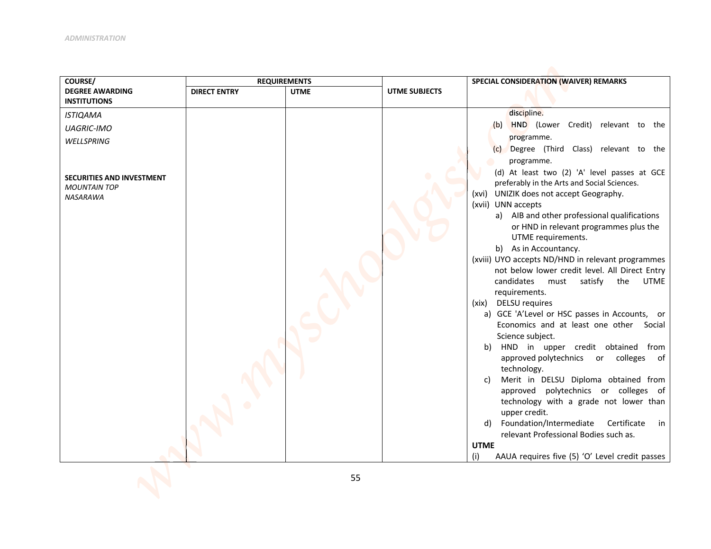| COURSE/                                                                                                                                                 | <b>REQUIREMENTS</b> |             |                      | SPECIAL CONSIDERATION (WAIVER) REMARKS                                                                                                                                                                                                                                                                                                                                                                                                                                                                                                                                                                                                                                                                                                                                                                                                                                                                                                                   |
|---------------------------------------------------------------------------------------------------------------------------------------------------------|---------------------|-------------|----------------------|----------------------------------------------------------------------------------------------------------------------------------------------------------------------------------------------------------------------------------------------------------------------------------------------------------------------------------------------------------------------------------------------------------------------------------------------------------------------------------------------------------------------------------------------------------------------------------------------------------------------------------------------------------------------------------------------------------------------------------------------------------------------------------------------------------------------------------------------------------------------------------------------------------------------------------------------------------|
| <b>DEGREE AWARDING</b>                                                                                                                                  | <b>DIRECT ENTRY</b> | <b>UTME</b> | <b>UTME SUBJECTS</b> |                                                                                                                                                                                                                                                                                                                                                                                                                                                                                                                                                                                                                                                                                                                                                                                                                                                                                                                                                          |
| <b>INSTITUTIONS</b><br><b>ISTIQAMA</b><br><b>UAGRIC-IMO</b><br>WELLSPRING<br><b>SECURITIES AND INVESTMENT</b><br><b>MOUNTAIN TOP</b><br><b>NASARAWA</b> |                     |             |                      | discipline.<br>(b) HND (Lower Credit) relevant to the<br>programme.<br>Degree (Third Class) relevant to the<br>(c)<br>programme.<br>(d) At least two (2) 'A' level passes at GCE<br>preferably in the Arts and Social Sciences.<br>(xvi) UNIZIK does not accept Geography.<br>(xvii) UNN accepts<br>a) AIB and other professional qualifications<br>or HND in relevant programmes plus the<br>UTME requirements.<br>b) As in Accountancy.<br>(xviii) UYO accepts ND/HND in relevant programmes<br>not below lower credit level. All Direct Entry<br>candidates<br><b>UTME</b><br>must satisfy<br>the<br>requirements.<br>(xix) DELSU requires<br>a) GCE 'A'Level or HSC passes in Accounts, or<br>Economics and at least one other Social<br>Science subject.<br>HND in upper credit obtained from<br>b)<br>approved polytechnics or colleges<br>of<br>technology.<br>Merit in DELSU Diploma obtained from<br>C)<br>approved polytechnics or colleges of |
|                                                                                                                                                         |                     |             |                      | technology with a grade not lower than<br>upper credit.<br>Foundation/Intermediate<br>Certificate<br>in<br>d)<br>relevant Professional Bodies such as.<br><b>UTME</b><br>(i)<br>AAUA requires five (5) 'O' Level credit passes                                                                                                                                                                                                                                                                                                                                                                                                                                                                                                                                                                                                                                                                                                                           |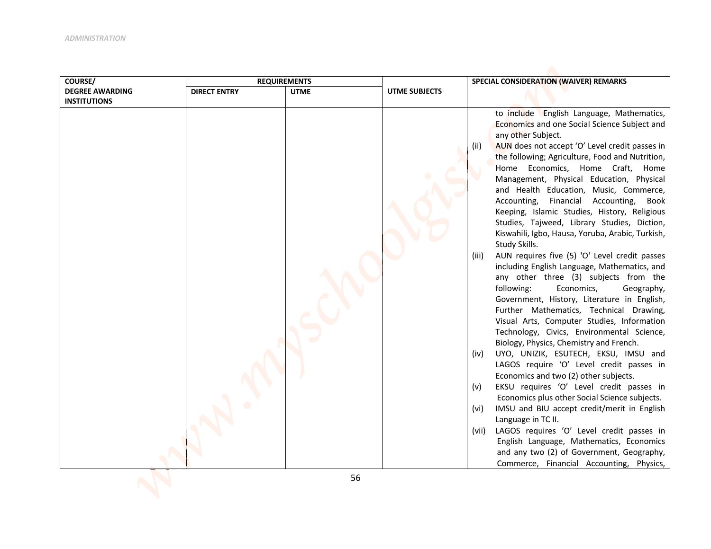| COURSE/                | <b>REQUIREMENTS</b> |             |                      | SPECIAL CONSIDERATION (WAIVER) REMARKS                                              |
|------------------------|---------------------|-------------|----------------------|-------------------------------------------------------------------------------------|
| <b>DEGREE AWARDING</b> | <b>DIRECT ENTRY</b> | <b>UTME</b> | <b>UTME SUBJECTS</b> |                                                                                     |
| <b>INSTITUTIONS</b>    |                     |             |                      |                                                                                     |
|                        |                     |             |                      | to include English Language, Mathematics,                                           |
|                        |                     |             |                      | Economics and one Social Science Subject and                                        |
|                        |                     |             |                      | any other Subject.                                                                  |
|                        |                     |             |                      | AUN does not accept 'O' Level credit passes in<br>(ii)                              |
|                        |                     |             |                      | the following; Agriculture, Food and Nutrition,                                     |
|                        |                     |             |                      | Home Economics, Home Craft, Home                                                    |
|                        |                     |             |                      | Management, Physical Education, Physical                                            |
|                        |                     |             |                      | and Health Education, Music, Commerce,<br>Financial Accounting, Book<br>Accounting, |
|                        |                     |             |                      | Keeping, Islamic Studies, History, Religious                                        |
|                        |                     |             |                      | Studies, Tajweed, Library Studies, Diction,                                         |
|                        |                     |             |                      | Kiswahili, Igbo, Hausa, Yoruba, Arabic, Turkish,                                    |
|                        |                     |             |                      | Study Skills.                                                                       |
|                        |                     |             |                      | AUN requires five (5) 'O' Level credit passes<br>(iii)                              |
|                        |                     |             |                      | including English Language, Mathematics, and                                        |
|                        |                     |             |                      | any other three (3) subjects from the                                               |
|                        |                     |             |                      | following:<br>Economics,<br>Geography,                                              |
|                        |                     |             |                      | Government, History, Literature in English,                                         |
|                        |                     |             |                      | Further Mathematics, Technical Drawing,                                             |
|                        |                     |             |                      | Visual Arts, Computer Studies, Information                                          |
|                        |                     |             |                      | Technology, Civics, Environmental Science,                                          |
|                        |                     |             |                      | Biology, Physics, Chemistry and French.                                             |
|                        |                     |             |                      | UYO, UNIZIK, ESUTECH, EKSU, IMSU and<br>(iv)                                        |
|                        |                     |             |                      | LAGOS require 'O' Level credit passes in                                            |
|                        |                     |             |                      | Economics and two (2) other subjects.<br>EKSU requires 'O' Level credit passes in   |
|                        |                     |             |                      | (v)<br>Economics plus other Social Science subjects.                                |
|                        |                     |             |                      | IMSU and BIU accept credit/merit in English<br>(vi)                                 |
|                        |                     |             |                      | Language in TC II.                                                                  |
|                        |                     |             |                      | LAGOS requires 'O' Level credit passes in<br>(vii)                                  |
|                        |                     |             |                      | English Language, Mathematics, Economics                                            |
|                        |                     |             |                      | and any two (2) of Government, Geography,                                           |
|                        |                     |             |                      | Commerce, Financial Accounting, Physics,                                            |
|                        |                     |             |                      |                                                                                     |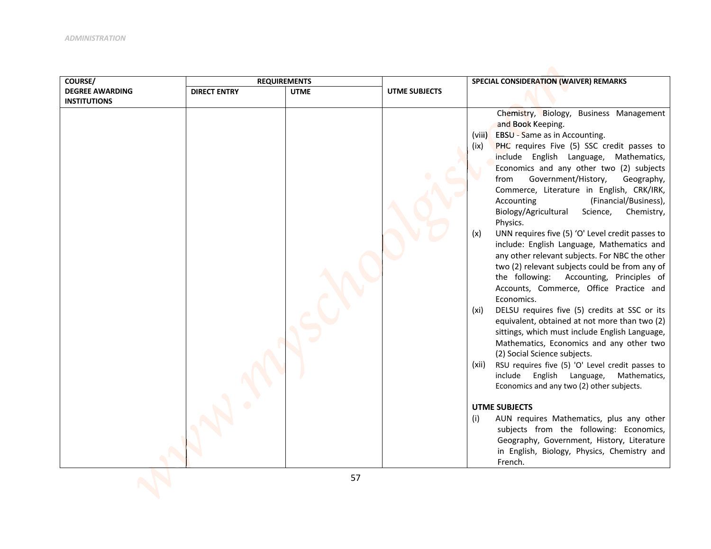| COURSE/                |                     | <b>REQUIREMENTS</b> | SPECIAL CONSIDERATION (WAIVER) REMARKS |                                                                                            |  |
|------------------------|---------------------|---------------------|----------------------------------------|--------------------------------------------------------------------------------------------|--|
| <b>DEGREE AWARDING</b> | <b>DIRECT ENTRY</b> | <b>UTME</b>         | UTME SUBJECTS                          |                                                                                            |  |
| <b>INSTITUTIONS</b>    |                     |                     |                                        |                                                                                            |  |
|                        |                     |                     |                                        | Chemistry, Biology, Business Management                                                    |  |
|                        |                     |                     |                                        | and Book Keeping.                                                                          |  |
|                        |                     |                     |                                        | EBSU - Same as in Accounting.<br>(viii)                                                    |  |
|                        |                     |                     |                                        | PHC requires Five (5) SSC credit passes to<br>(ix)                                         |  |
|                        |                     |                     |                                        | include English Language, Mathematics,                                                     |  |
|                        |                     |                     |                                        | Economics and any other two (2) subjects                                                   |  |
|                        |                     |                     |                                        | Government/History,<br>from<br>Geography,                                                  |  |
|                        |                     |                     |                                        | Commerce, Literature in English, CRK/IRK,<br>(Financial/Business),<br>Accounting           |  |
|                        |                     |                     |                                        | Biology/Agricultural<br>Science,<br>Chemistry,                                             |  |
|                        |                     |                     |                                        | Physics.                                                                                   |  |
|                        |                     |                     |                                        | UNN requires five (5) 'O' Level credit passes to<br>(x)                                    |  |
|                        |                     |                     |                                        | include: English Language, Mathematics and                                                 |  |
|                        |                     |                     |                                        | any other relevant subjects. For NBC the other                                             |  |
|                        |                     |                     |                                        | two (2) relevant subjects could be from any of                                             |  |
|                        |                     |                     |                                        | the following: Accounting, Principles of                                                   |  |
|                        |                     |                     |                                        | Accounts, Commerce, Office Practice and                                                    |  |
|                        |                     |                     |                                        | Economics.                                                                                 |  |
|                        |                     |                     |                                        | DELSU requires five (5) credits at SSC or its<br>(xi)                                      |  |
|                        |                     |                     |                                        | equivalent, obtained at not more than two (2)                                              |  |
|                        |                     |                     |                                        | sittings, which must include English Language,<br>Mathematics, Economics and any other two |  |
|                        |                     |                     |                                        | (2) Social Science subjects.                                                               |  |
|                        |                     |                     |                                        | RSU requires five (5) 'O' Level credit passes to<br>(xii)                                  |  |
|                        |                     |                     |                                        | include<br>English<br>Language,<br>Mathematics,                                            |  |
|                        |                     |                     |                                        | Economics and any two (2) other subjects.                                                  |  |
|                        |                     |                     |                                        | <b>UTME SUBJECTS</b>                                                                       |  |
|                        |                     |                     |                                        | AUN requires Mathematics, plus any other<br>(i)                                            |  |
|                        |                     |                     |                                        | subjects from the following: Economics,                                                    |  |
|                        |                     |                     |                                        | Geography, Government, History, Literature                                                 |  |
|                        |                     |                     |                                        | in English, Biology, Physics, Chemistry and                                                |  |
|                        |                     |                     |                                        | French.                                                                                    |  |
|                        |                     |                     |                                        |                                                                                            |  |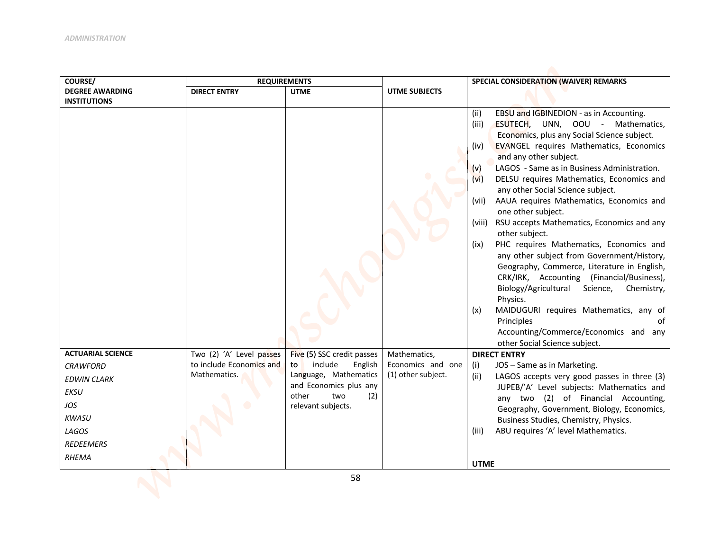| COURSE/                  | <b>REQUIREMENTS</b>      |                                               |                    | SPECIAL CONSIDERATION (WAIVER) REMARKS                                                                                                                                                                                                                                                                                                                                                                                                                                                                                                                                                                                                                                                                                                                                                                                                                                                                        |
|--------------------------|--------------------------|-----------------------------------------------|--------------------|---------------------------------------------------------------------------------------------------------------------------------------------------------------------------------------------------------------------------------------------------------------------------------------------------------------------------------------------------------------------------------------------------------------------------------------------------------------------------------------------------------------------------------------------------------------------------------------------------------------------------------------------------------------------------------------------------------------------------------------------------------------------------------------------------------------------------------------------------------------------------------------------------------------|
| <b>DEGREE AWARDING</b>   | <b>DIRECT ENTRY</b>      | <b>UTME</b>                                   | UTME SUBJECTS      |                                                                                                                                                                                                                                                                                                                                                                                                                                                                                                                                                                                                                                                                                                                                                                                                                                                                                                               |
| <b>INSTITUTIONS</b>      |                          |                                               |                    | EBSU and IGBINEDION - as in Accounting.<br>(ii)<br>(iii)<br>ESUTECH, UNN, OOU - Mathematics,<br>Economics, plus any Social Science subject.<br><b>EVANGEL requires Mathematics, Economics</b><br>(iv)<br>and any other subject.<br>LAGOS - Same as in Business Administration.<br>(v)<br>DELSU requires Mathematics, Economics and<br>(vi)<br>any other Social Science subject.<br>AAUA requires Mathematics, Economics and<br>(vii)<br>one other subject.<br>RSU accepts Mathematics, Economics and any<br>(viii)<br>other subject.<br>PHC requires Mathematics, Economics and<br>(ix)<br>any other subject from Government/History,<br>Geography, Commerce, Literature in English,<br>CRK/IRK, Accounting (Financial/Business),<br>Biology/Agricultural<br>Science,<br>Chemistry,<br>Physics.<br>MAIDUGURI requires Mathematics, any of<br>(x)<br>Principles<br>Ωf<br>Accounting/Commerce/Economics and any |
| <b>ACTUARIAL SCIENCE</b> | Two (2) 'A' Level passes | Five (5) SSC credit passes                    | Mathematics,       | other Social Science subject.<br><b>DIRECT ENTRY</b>                                                                                                                                                                                                                                                                                                                                                                                                                                                                                                                                                                                                                                                                                                                                                                                                                                                          |
| <b>CRAWFORD</b>          | to include Economics and | include<br>English<br>to                      | Economics and one  | JOS - Same as in Marketing.<br>(i)                                                                                                                                                                                                                                                                                                                                                                                                                                                                                                                                                                                                                                                                                                                                                                                                                                                                            |
| <b>EDWIN CLARK</b>       | Mathematics.             | Language, Mathematics                         | (1) other subject. | (ii)<br>LAGOS accepts very good passes in three (3)                                                                                                                                                                                                                                                                                                                                                                                                                                                                                                                                                                                                                                                                                                                                                                                                                                                           |
| <b>EKSU</b>              |                          | and Economics plus any<br>other<br>(2)<br>two |                    | JUPEB/'A' Level subjects: Mathematics and                                                                                                                                                                                                                                                                                                                                                                                                                                                                                                                                                                                                                                                                                                                                                                                                                                                                     |
| JOS                      |                          | relevant subjects.                            |                    | any two (2) of Financial Accounting,                                                                                                                                                                                                                                                                                                                                                                                                                                                                                                                                                                                                                                                                                                                                                                                                                                                                          |
| <b>KWASU</b>             |                          |                                               |                    | Geography, Government, Biology, Economics,<br>Business Studies, Chemistry, Physics.                                                                                                                                                                                                                                                                                                                                                                                                                                                                                                                                                                                                                                                                                                                                                                                                                           |
| LAGOS                    |                          |                                               |                    | ABU requires 'A' level Mathematics.<br>(iii)                                                                                                                                                                                                                                                                                                                                                                                                                                                                                                                                                                                                                                                                                                                                                                                                                                                                  |
| <b>REDEEMERS</b>         |                          |                                               |                    |                                                                                                                                                                                                                                                                                                                                                                                                                                                                                                                                                                                                                                                                                                                                                                                                                                                                                                               |
| RHEMA                    |                          |                                               |                    | <b>UTME</b>                                                                                                                                                                                                                                                                                                                                                                                                                                                                                                                                                                                                                                                                                                                                                                                                                                                                                                   |
|                          |                          | 58                                            |                    |                                                                                                                                                                                                                                                                                                                                                                                                                                                                                                                                                                                                                                                                                                                                                                                                                                                                                                               |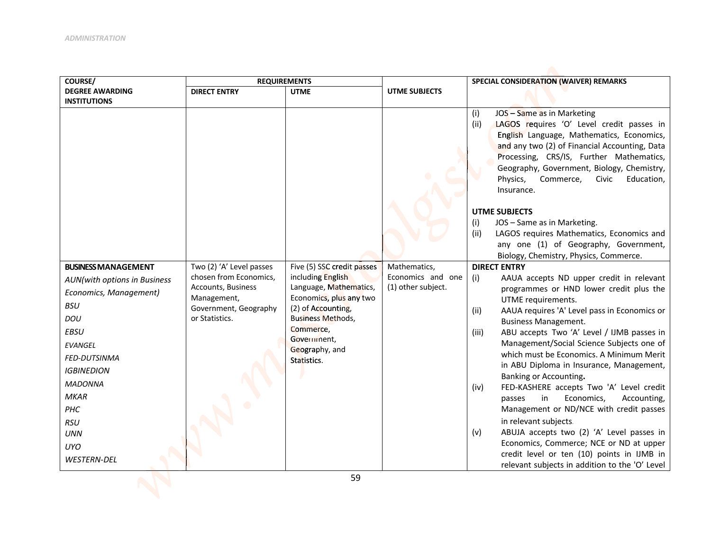| COURSE/                      | <b>REQUIREMENTS</b>               |                                                   |                    | SPECIAL CONSIDERATION (WAIVER) REMARKS                                                     |
|------------------------------|-----------------------------------|---------------------------------------------------|--------------------|--------------------------------------------------------------------------------------------|
| <b>DEGREE AWARDING</b>       | <b>DIRECT ENTRY</b>               | <b>UTME</b>                                       | UTME SUBJECTS      |                                                                                            |
| <b>INSTITUTIONS</b>          |                                   |                                                   |                    | JOS - Same as in Marketing                                                                 |
|                              |                                   |                                                   |                    | (i)<br>LAGOS requires 'O' Level credit passes in<br>(ii)                                   |
|                              |                                   |                                                   |                    | English Language, Mathematics, Economics,                                                  |
|                              |                                   |                                                   |                    | and any two (2) of Financial Accounting, Data                                              |
|                              |                                   |                                                   |                    | Processing, CRS/IS, Further Mathematics,                                                   |
|                              |                                   |                                                   |                    | Geography, Government, Biology, Chemistry,<br>Physics,<br>Commerce,<br>Civic<br>Education, |
|                              |                                   |                                                   |                    | Insurance.                                                                                 |
|                              |                                   |                                                   |                    |                                                                                            |
|                              |                                   |                                                   |                    | <b>UTME SUBJECTS</b>                                                                       |
|                              |                                   |                                                   |                    | (i)<br>JOS - Same as in Marketing.                                                         |
|                              |                                   |                                                   |                    | (ii)<br>LAGOS requires Mathematics, Economics and<br>any one (1) of Geography, Government, |
|                              |                                   |                                                   |                    | Biology, Chemistry, Physics, Commerce.                                                     |
| <b>BUSINESS MANAGEMENT</b>   | Two (2) 'A' Level passes          | Five (5) SSC credit passes                        | Mathematics,       | <b>DIRECT ENTRY</b>                                                                        |
| AUN(with options in Business | chosen from Economics,            | including English                                 | Economics and one  | AAUA accepts ND upper credit in relevant<br>(i)                                            |
| Economics, Management)       | Accounts, Business<br>Management, | Language, Mathematics,<br>Economics, plus any two | (1) other subject. | programmes or HND lower credit plus the                                                    |
| <b>BSU</b>                   | Government, Geography             | (2) of Accounting,                                |                    | UTME requirements.<br>AAUA requires 'A' Level pass in Economics or                         |
| DOU                          | or Statistics.                    | <b>Business Methods,</b>                          |                    | (ii)<br><b>Business Management.</b>                                                        |
| <b>EBSU</b>                  |                                   | Commerce,                                         |                    | (iii)<br>ABU accepts Two 'A' Level / IJMB passes in                                        |
| <b>EVANGEL</b>               |                                   | Government,<br>Geography, and                     |                    | Management/Social Science Subjects one of                                                  |
| <b>FED-DUTSINMA</b>          |                                   | Statistics.                                       |                    | which must be Economics. A Minimum Merit                                                   |
| <b>IGBINEDION</b>            |                                   |                                                   |                    | in ABU Diploma in Insurance, Management,<br>Banking or Accounting.                         |
| <b>MADONNA</b>               |                                   |                                                   |                    | FED-KASHERE accepts Two 'A' Level credit<br>(iv)                                           |
| <b>MKAR</b>                  |                                   |                                                   |                    | in<br>Economics,<br>Accounting,<br>passes                                                  |
| PHC                          |                                   |                                                   |                    | Management or ND/NCE with credit passes                                                    |
| <b>RSU</b>                   |                                   |                                                   |                    | in relevant subjects.                                                                      |
| <b>UNN</b>                   |                                   |                                                   |                    | ABUJA accepts two (2) 'A' Level passes in<br>(v)                                           |
| <b>UYO</b>                   |                                   |                                                   |                    | Economics, Commerce; NCE or ND at upper<br>credit level or ten (10) points in IJMB in      |
| <b>WESTERN-DEL</b>           |                                   |                                                   |                    | relevant subjects in addition to the 'O' Level                                             |
|                              |                                   |                                                   |                    |                                                                                            |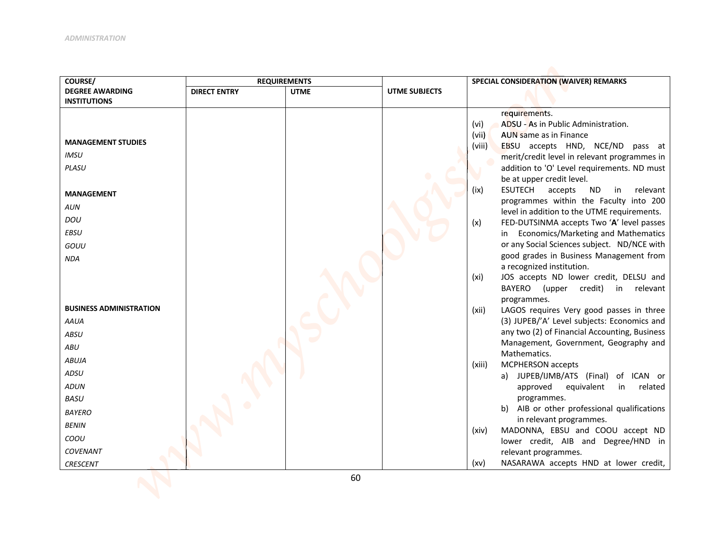| COURSE/                        | <b>REQUIREMENTS</b> |             |                      | SPECIAL CONSIDERATION (WAIVER) REMARKS                                                      |
|--------------------------------|---------------------|-------------|----------------------|---------------------------------------------------------------------------------------------|
| <b>DEGREE AWARDING</b>         | <b>DIRECT ENTRY</b> | <b>UTME</b> | <b>UTME SUBJECTS</b> |                                                                                             |
| <b>INSTITUTIONS</b>            |                     |             |                      |                                                                                             |
|                                |                     |             |                      | requirements.                                                                               |
|                                |                     |             |                      | ADSU - As in Public Administration.<br>(vi)                                                 |
| <b>MANAGEMENT STUDIES</b>      |                     |             |                      | (vii)<br>AUN same as in Finance                                                             |
| <b>IMSU</b>                    |                     |             |                      | EBSU accepts HND, NCE/ND pass at<br>(viii)                                                  |
| <b>PLASU</b>                   |                     |             |                      | merit/credit level in relevant programmes in<br>addition to 'O' Level requirements. ND must |
|                                |                     |             |                      | be at upper credit level.                                                                   |
|                                |                     |             |                      | <b>ESUTECH</b><br>accepts<br><b>ND</b><br>(ix)<br>in<br>relevant                            |
| <b>MANAGEMENT</b>              |                     |             |                      | programmes within the Faculty into 200                                                      |
| <b>AUN</b>                     |                     |             |                      | level in addition to the UTME requirements.                                                 |
| <b>DOU</b>                     |                     |             |                      | FED-DUTSINMA accepts Two 'A' level passes<br>(x)                                            |
| <b>EBSU</b>                    |                     |             |                      | in Economics/Marketing and Mathematics                                                      |
| GOUU                           |                     |             |                      | or any Social Sciences subject. ND/NCE with                                                 |
| <b>NDA</b>                     |                     |             |                      | good grades in Business Management from                                                     |
|                                |                     |             |                      | a recognized institution.                                                                   |
|                                |                     |             |                      | JOS accepts ND lower credit, DELSU and<br>(xi)                                              |
|                                |                     |             |                      | BAYERO<br>(upper credit)<br>$\mathsf{in}$<br>relevant                                       |
|                                |                     |             |                      | programmes.                                                                                 |
| <b>BUSINESS ADMINISTRATION</b> |                     |             |                      | LAGOS requires Very good passes in three<br>(xii)                                           |
| AAUA                           |                     |             |                      | (3) JUPEB/'A' Level subjects: Economics and                                                 |
| <b>ABSU</b>                    |                     |             |                      | any two (2) of Financial Accounting, Business                                               |
| <b>ABU</b>                     |                     |             |                      | Management, Government, Geography and<br>Mathematics.                                       |
| <b>ABUJA</b>                   |                     |             |                      | <b>MCPHERSON</b> accepts<br>(xiii)                                                          |
| ADSU                           |                     |             |                      | a) JUPEB/IJMB/ATS (Final) of ICAN or                                                        |
| <b>ADUN</b>                    |                     |             |                      | equivalent<br>related<br>approved<br>in                                                     |
| <b>BASU</b>                    |                     |             |                      | programmes.                                                                                 |
| <b>BAYERO</b>                  |                     |             |                      | b) AIB or other professional qualifications                                                 |
| <b>BENIN</b>                   |                     |             |                      | in relevant programmes.                                                                     |
| COOU                           |                     |             |                      | MADONNA, EBSU and COOU accept ND<br>(xiv)                                                   |
| <b>COVENANT</b>                |                     |             |                      | lower credit, AIB and Degree/HND in                                                         |
|                                |                     |             |                      | relevant programmes.<br>NASARAWA accepts HND at lower credit,                               |
| <b>CRESCENT</b>                |                     |             |                      | (xv)                                                                                        |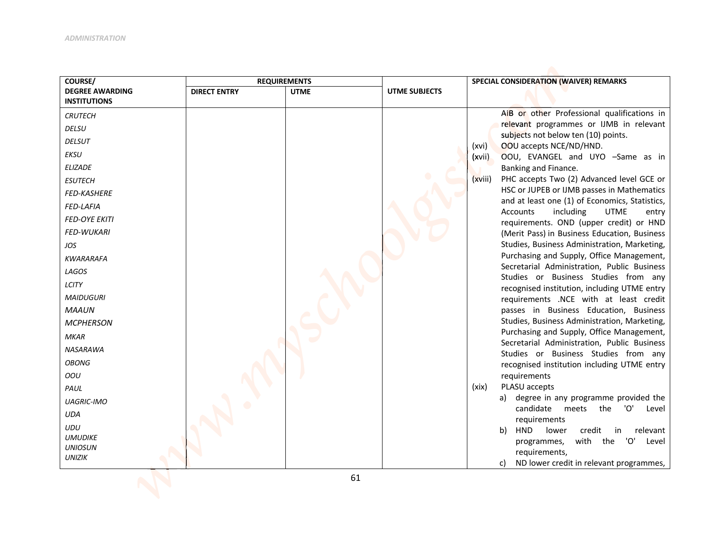| COURSE/                         | <b>REQUIREMENTS</b> |             |               | SPECIAL CONSIDERATION (WAIVER) REMARKS                                                          |
|---------------------------------|---------------------|-------------|---------------|-------------------------------------------------------------------------------------------------|
| <b>DEGREE AWARDING</b>          | <b>DIRECT ENTRY</b> | <b>UTME</b> | UTME SUBJECTS |                                                                                                 |
| <b>INSTITUTIONS</b>             |                     |             |               | AIB or other Professional qualifications in                                                     |
| <b>CRUTECH</b>                  |                     |             |               | relevant programmes or IJMB in relevant                                                         |
| <b>DELSU</b>                    |                     |             |               | subjects not below ten (10) points.                                                             |
| <b>DELSUT</b>                   |                     |             |               | OOU accepts NCE/ND/HND.<br>(xvi)                                                                |
| <b>EKSU</b>                     |                     |             |               | OOU, EVANGEL and UYO -Same as in<br>(xvii)                                                      |
| <b>ELIZADE</b>                  |                     |             |               | Banking and Finance.                                                                            |
| <b>ESUTECH</b>                  |                     |             |               | PHC accepts Two (2) Advanced level GCE or<br>(xviii)                                            |
| <b>FED-KASHERE</b>              |                     |             |               | HSC or JUPEB or IJMB passes in Mathematics                                                      |
| <b>FED-LAFIA</b>                |                     |             |               | and at least one (1) of Economics, Statistics,<br>Accounts<br>including<br><b>UTME</b><br>entry |
| <b>FED-OYE EKITI</b>            |                     |             |               | requirements. OND (upper credit) or HND                                                         |
| <b>FED-WUKARI</b>               |                     |             |               | (Merit Pass) in Business Education, Business                                                    |
| JOS                             |                     |             |               | Studies, Business Administration, Marketing,                                                    |
| <b>KWARARAFA</b>                |                     |             |               | Purchasing and Supply, Office Management,                                                       |
| LAGOS                           |                     |             |               | Secretarial Administration, Public Business<br>Studies or Business Studies from any             |
| <b>LCITY</b>                    |                     |             |               | recognised institution, including UTME entry                                                    |
| <b>MAIDUGURI</b>                |                     |             |               | requirements .NCE with at least credit                                                          |
| <b>MAAUN</b>                    |                     |             |               | passes in Business Education, Business                                                          |
| <b>MCPHERSON</b>                |                     |             |               | Studies, Business Administration, Marketing,                                                    |
| <b>MKAR</b>                     |                     |             |               | Purchasing and Supply, Office Management,                                                       |
| <b>NASARAWA</b>                 |                     |             |               | Secretarial Administration, Public Business                                                     |
| <b>OBONG</b>                    |                     |             |               | Studies or Business Studies from any<br>recognised institution including UTME entry             |
| OOU                             |                     |             |               | requirements                                                                                    |
| PAUL                            |                     |             |               | PLASU accepts<br>(xix)                                                                          |
| <b>UAGRIC-IMO</b>               |                     |             |               | a) degree in any programme provided the                                                         |
| <b>UDA</b>                      |                     |             |               | candidate meets the<br>'O'<br>Level<br>requirements                                             |
| <b>UDU</b>                      |                     |             |               | HND lower<br>credit<br>in relevant<br>b)                                                        |
| <b>UMUDIKE</b>                  |                     |             |               | with the 'O'<br>Level<br>programmes,                                                            |
| <b>UNIOSUN</b><br><b>UNIZIK</b> |                     |             |               | requirements,                                                                                   |
|                                 |                     |             |               | ND lower credit in relevant programmes,<br>C)                                                   |
|                                 |                     | 61          |               |                                                                                                 |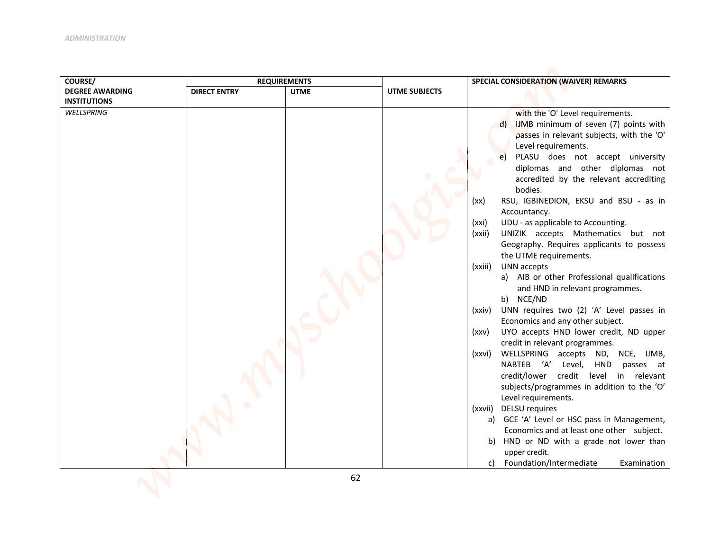| COURSE/                | <b>REQUIREMENTS</b> |             |                      | SPECIAL CONSIDERATION (WAIVER) REMARKS                                    |
|------------------------|---------------------|-------------|----------------------|---------------------------------------------------------------------------|
| <b>DEGREE AWARDING</b> | <b>DIRECT ENTRY</b> | <b>UTME</b> | <b>UTME SUBJECTS</b> |                                                                           |
| <b>INSTITUTIONS</b>    |                     |             |                      |                                                                           |
| WELLSPRING             |                     |             |                      | with the 'O' Level requirements.                                          |
|                        |                     |             |                      | IJMB minimum of seven (7) points with<br>d)                               |
|                        |                     |             |                      | passes in relevant subjects, with the 'O'                                 |
|                        |                     |             |                      | Level requirements.                                                       |
|                        |                     |             |                      | PLASU does not accept university<br>e)<br>diplomas and other diplomas not |
|                        |                     |             |                      | accredited by the relevant accrediting                                    |
|                        |                     |             |                      | bodies.                                                                   |
|                        |                     |             |                      | RSU, IGBINEDION, EKSU and BSU - as in<br>(xx)                             |
|                        |                     |             |                      | Accountancy.                                                              |
|                        |                     |             |                      | UDU - as applicable to Accounting.<br>(xxi)                               |
|                        |                     |             |                      | UNIZIK accepts Mathematics but not<br>(xxii)                              |
|                        |                     |             |                      | Geography. Requires applicants to possess                                 |
|                        |                     |             |                      | the UTME requirements.                                                    |
|                        |                     |             |                      | UNN accepts<br>(xxiii)<br>a) AIB or other Professional qualifications     |
|                        |                     |             |                      | and HND in relevant programmes.                                           |
|                        |                     |             |                      | b) NCE/ND                                                                 |
|                        |                     |             |                      | UNN requires two (2) 'A' Level passes in<br>(xxiv)                        |
|                        |                     |             |                      | Economics and any other subject.                                          |
|                        |                     |             |                      | UYO accepts HND lower credit, ND upper<br>(xxv)                           |
|                        |                     |             |                      | credit in relevant programmes.                                            |
|                        |                     |             |                      | WELLSPRING accepts ND, NCE, IJMB,<br>(xxvi)                               |
|                        |                     |             |                      | NABTEB 'A' Level, HND<br>passes at                                        |
|                        |                     |             |                      | credit/lower credit level in relevant                                     |
|                        |                     |             |                      | subjects/programmes in addition to the 'O'                                |
|                        |                     |             |                      | Level requirements.<br><b>DELSU</b> requires                              |
|                        |                     |             |                      | (xxvii)<br>a) GCE 'A' Level or HSC pass in Management,                    |
|                        |                     |             |                      | Economics and at least one other subject.                                 |
|                        |                     |             |                      | b) HND or ND with a grade not lower than                                  |
|                        |                     |             |                      | upper credit.                                                             |
|                        |                     |             |                      | Foundation/Intermediate<br>Examination<br>c)                              |
|                        |                     | $\epsilon$  |                      |                                                                           |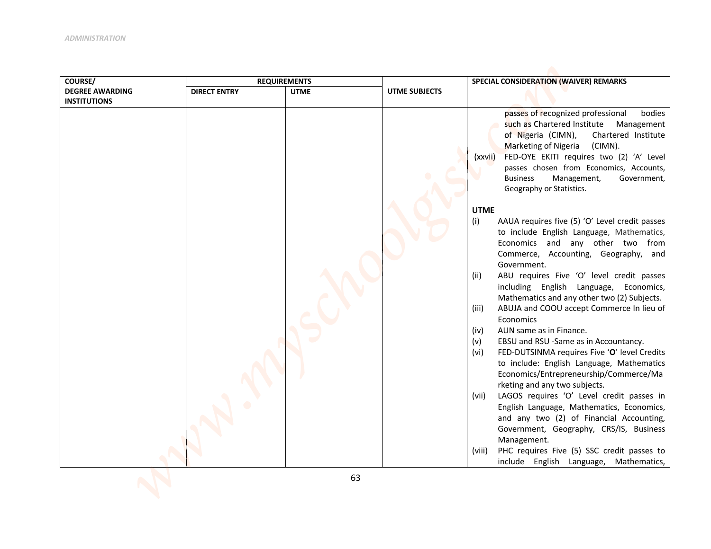| COURSE/                | <b>REQUIREMENTS</b> |             | SPECIAL CONSIDERATION (WAIVER) REMARKS |                                                                                                    |  |
|------------------------|---------------------|-------------|----------------------------------------|----------------------------------------------------------------------------------------------------|--|
| <b>DEGREE AWARDING</b> | <b>DIRECT ENTRY</b> | <b>UTME</b> | <b>UTME SUBJECTS</b>                   |                                                                                                    |  |
| <b>INSTITUTIONS</b>    |                     |             |                                        |                                                                                                    |  |
|                        |                     |             |                                        | passes of recognized professional<br>bodies<br>such as Chartered Institute                         |  |
|                        |                     |             |                                        | Management<br>of Nigeria (CIMN),<br>Chartered Institute                                            |  |
|                        |                     |             |                                        | Marketing of Nigeria<br>(CIMN).                                                                    |  |
|                        |                     |             |                                        | FED-OYE EKITI requires two (2) 'A' Level<br>(xxvii)                                                |  |
|                        |                     |             |                                        | passes chosen from Economics, Accounts,                                                            |  |
|                        |                     |             |                                        | <b>Business</b><br>Management,<br>Government,                                                      |  |
|                        |                     |             |                                        | Geography or Statistics.                                                                           |  |
|                        |                     |             |                                        |                                                                                                    |  |
|                        |                     |             |                                        | <b>UTME</b>                                                                                        |  |
|                        |                     |             |                                        | (i)<br>AAUA requires five (5) 'O' Level credit passes<br>to include English Language, Mathematics, |  |
|                        |                     |             |                                        | Economics and any other two from                                                                   |  |
|                        |                     |             |                                        | Commerce, Accounting, Geography, and                                                               |  |
|                        |                     |             |                                        | Government.                                                                                        |  |
|                        |                     |             |                                        | ABU requires Five 'O' level credit passes<br>(ii)                                                  |  |
|                        |                     |             |                                        | including English Language, Economics,                                                             |  |
|                        |                     |             |                                        | Mathematics and any other two (2) Subjects.                                                        |  |
|                        |                     |             |                                        | ABUJA and COOU accept Commerce In lieu of<br>(iii)<br>Economics                                    |  |
|                        |                     |             |                                        | AUN same as in Finance.<br>(iv)                                                                    |  |
|                        |                     |             |                                        | EBSU and RSU -Same as in Accountancy.<br>(v)                                                       |  |
|                        |                     |             |                                        | FED-DUTSINMA requires Five 'O' level Credits<br>(vi)                                               |  |
|                        |                     |             |                                        | to include: English Language, Mathematics                                                          |  |
|                        |                     |             |                                        | Economics/Entrepreneurship/Commerce/Ma                                                             |  |
|                        |                     |             |                                        | rketing and any two subjects.                                                                      |  |
|                        |                     |             |                                        | LAGOS requires 'O' Level credit passes in<br>(vii)<br>English Language, Mathematics, Economics,    |  |
|                        |                     |             |                                        | and any two (2) of Financial Accounting,                                                           |  |
|                        |                     |             |                                        | Government, Geography, CRS/IS, Business                                                            |  |
|                        |                     |             |                                        | Management.                                                                                        |  |
|                        |                     |             |                                        | PHC requires Five (5) SSC credit passes to<br>(viii)                                               |  |
|                        |                     |             |                                        | include English Language, Mathematics,                                                             |  |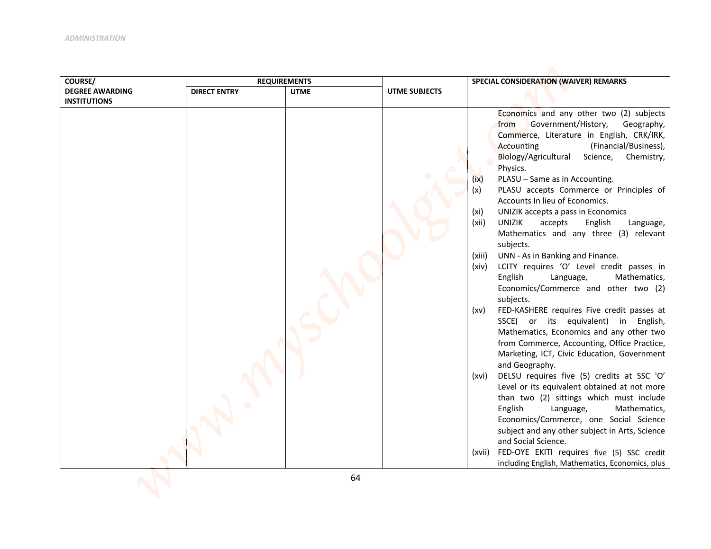| COURSE/                | <b>REQUIREMENTS</b> |             | SPECIAL CONSIDERATION (WAIVER) REMARKS |                                                                                       |  |
|------------------------|---------------------|-------------|----------------------------------------|---------------------------------------------------------------------------------------|--|
| <b>DEGREE AWARDING</b> | <b>DIRECT ENTRY</b> | <b>UTME</b> | <b>UTME SUBJECTS</b>                   |                                                                                       |  |
| <b>INSTITUTIONS</b>    |                     |             |                                        |                                                                                       |  |
|                        |                     |             |                                        | Economics and any other two (2) subjects<br>Government/History,<br>from<br>Geography, |  |
|                        |                     |             |                                        | Commerce, Literature in English, CRK/IRK,                                             |  |
|                        |                     |             |                                        | (Financial/Business),<br>Accounting                                                   |  |
|                        |                     |             |                                        | Biology/Agricultural<br>Science, Chemistry,                                           |  |
|                        |                     |             |                                        | Physics.                                                                              |  |
|                        |                     |             |                                        | PLASU - Same as in Accounting.<br>(ix)                                                |  |
|                        |                     |             |                                        | PLASU accepts Commerce or Principles of<br>(x)                                        |  |
|                        |                     |             |                                        | Accounts In lieu of Economics.                                                        |  |
|                        |                     |             |                                        | (x <sub>i</sub> )<br>UNIZIK accepts a pass in Economics                               |  |
|                        |                     |             |                                        | <b>UNIZIK</b><br>(xii)<br>accepts<br>English<br>Language,                             |  |
|                        |                     |             |                                        | Mathematics and any three (3) relevant<br>subjects.                                   |  |
|                        |                     |             |                                        | UNN - As in Banking and Finance.<br>(xiii)                                            |  |
|                        |                     |             |                                        | LCITY requires 'O' Level credit passes in<br>(xiv)                                    |  |
|                        |                     |             |                                        | English<br>Language,<br>Mathematics,                                                  |  |
|                        |                     |             |                                        | Economics/Commerce and other two (2)                                                  |  |
|                        |                     |             |                                        | subjects.                                                                             |  |
|                        |                     |             |                                        | FED-KASHERE requires Five credit passes at<br>(xv)                                    |  |
|                        |                     |             |                                        | SSCE( or its equivalent) in English,                                                  |  |
|                        |                     |             |                                        | Mathematics, Economics and any other two                                              |  |
|                        |                     |             |                                        | from Commerce, Accounting, Office Practice,                                           |  |
|                        |                     |             |                                        | Marketing, ICT, Civic Education, Government<br>and Geography.                         |  |
|                        |                     |             |                                        | DELSU requires five (5) credits at SSC 'O'<br>(xvi)                                   |  |
|                        |                     |             |                                        | Level or its equivalent obtained at not more                                          |  |
|                        |                     |             |                                        | than two (2) sittings which must include                                              |  |
|                        |                     |             |                                        | English<br>Mathematics,<br>Language,                                                  |  |
|                        |                     |             |                                        | Economics/Commerce, one Social Science                                                |  |
|                        |                     |             |                                        | subject and any other subject in Arts, Science                                        |  |
|                        |                     |             |                                        | and Social Science.                                                                   |  |
|                        |                     |             |                                        | FED-OYE EKITI requires five (5) SSC credit<br>(xvii)                                  |  |
|                        |                     |             |                                        | including English, Mathematics, Economics, plus                                       |  |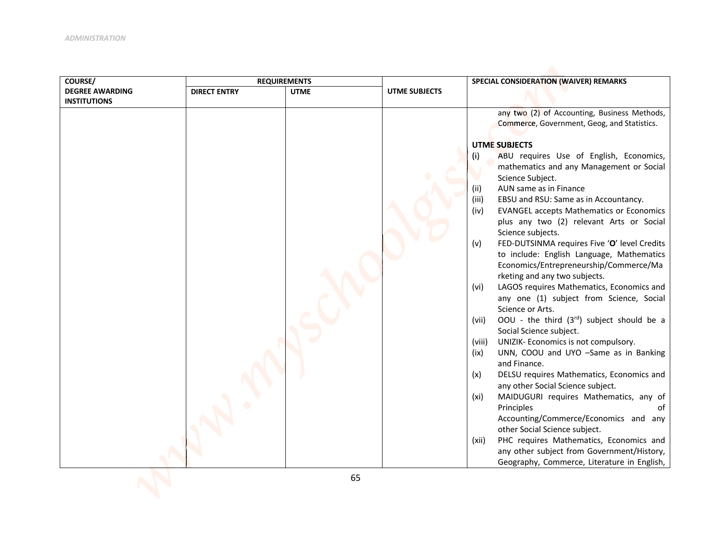| COURSE/                | <b>REQUIREMENTS</b> |             | SPECIAL CONSIDERATION (WAIVER) REMARKS |                                                                                             |  |
|------------------------|---------------------|-------------|----------------------------------------|---------------------------------------------------------------------------------------------|--|
| <b>DEGREE AWARDING</b> | <b>DIRECT ENTRY</b> | <b>UTME</b> | <b>UTME SUBJECTS</b>                   |                                                                                             |  |
| <b>INSTITUTIONS</b>    |                     |             |                                        | any two (2) of Accounting, Business Methods,<br>Commerce, Government, Geog, and Statistics. |  |
|                        |                     |             |                                        |                                                                                             |  |
|                        |                     |             |                                        | <b>UTME SUBJECTS</b>                                                                        |  |
|                        |                     |             |                                        | ABU requires Use of English, Economics,<br>(i)                                              |  |
|                        |                     |             |                                        | mathematics and any Management or Social<br>Science Subject.                                |  |
|                        |                     |             |                                        | AUN same as in Finance<br>(ii)                                                              |  |
|                        |                     |             |                                        | (iii)<br>EBSU and RSU: Same as in Accountancy.                                              |  |
|                        |                     |             |                                        | <b>EVANGEL accepts Mathematics or Economics</b><br>(iv)                                     |  |
|                        |                     |             |                                        | plus any two (2) relevant Arts or Social                                                    |  |
|                        |                     |             |                                        | Science subjects.                                                                           |  |
|                        |                     |             |                                        | FED-DUTSINMA requires Five 'O' level Credits<br>(v)                                         |  |
|                        |                     |             |                                        | to include: English Language, Mathematics                                                   |  |
|                        |                     |             |                                        | Economics/Entrepreneurship/Commerce/Ma                                                      |  |
|                        |                     |             |                                        | rketing and any two subjects.<br>LAGOS requires Mathematics, Economics and<br>(vi)          |  |
|                        |                     |             |                                        | any one (1) subject from Science, Social                                                    |  |
|                        |                     |             |                                        | Science or Arts.                                                                            |  |
|                        |                     |             |                                        | OOU - the third $(3^{rd})$ subject should be a<br>(vii)                                     |  |
|                        |                     |             |                                        | Social Science subject.                                                                     |  |
|                        |                     |             |                                        | UNIZIK- Economics is not compulsory.<br>(viii)                                              |  |
|                        |                     |             |                                        | UNN, COOU and UYO -Same as in Banking<br>(ix)<br>and Finance.                               |  |
|                        |                     |             |                                        | DELSU requires Mathematics, Economics and<br>(x)                                            |  |
|                        |                     |             |                                        | any other Social Science subject.                                                           |  |
|                        |                     |             |                                        | (xi)<br>MAIDUGURI requires Mathematics, any of                                              |  |
|                        |                     |             |                                        | Principles                                                                                  |  |
|                        |                     |             |                                        | Accounting/Commerce/Economics and any                                                       |  |
|                        |                     |             |                                        | other Social Science subject.                                                               |  |
|                        |                     |             |                                        | PHC requires Mathematics, Economics and<br>(xii)                                            |  |
|                        |                     |             |                                        | any other subject from Government/History,<br>Geography, Commerce, Literature in English,   |  |
|                        |                     |             |                                        |                                                                                             |  |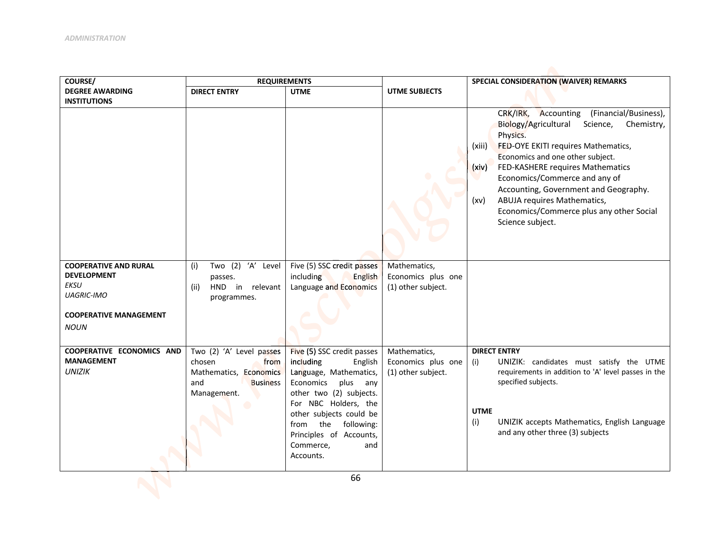| COURSE/                                                                   | <b>REQUIREMENTS</b>                                                                                           |                                                                                                                                                                                                                                                                           |                                                          | SPECIAL CONSIDERATION (WAIVER) REMARKS                                                                                                                                                                                                                                                                                                                                                                                           |
|---------------------------------------------------------------------------|---------------------------------------------------------------------------------------------------------------|---------------------------------------------------------------------------------------------------------------------------------------------------------------------------------------------------------------------------------------------------------------------------|----------------------------------------------------------|----------------------------------------------------------------------------------------------------------------------------------------------------------------------------------------------------------------------------------------------------------------------------------------------------------------------------------------------------------------------------------------------------------------------------------|
| <b>DEGREE AWARDING</b>                                                    | <b>DIRECT ENTRY</b>                                                                                           | <b>UTME</b>                                                                                                                                                                                                                                                               | UTME SUBJECTS                                            |                                                                                                                                                                                                                                                                                                                                                                                                                                  |
| <b>INSTITUTIONS</b><br><b>COOPERATIVE AND RURAL</b><br><b>DEVELOPMENT</b> | Two (2) 'A' Level<br>(i)                                                                                      | Five (5) SSC credit passes                                                                                                                                                                                                                                                | Mathematics,                                             | CRK/IRK,<br>Accounting<br>(Financial/Business),<br>Chemistry,<br>Biology/Agricultural<br>Science,<br>Physics.<br>FED-OYE EKITI requires Mathematics,<br>(xiii)<br>Economics and one other subject.<br>FED-KASHERE requires Mathematics<br>(xiv)<br>Economics/Commerce and any of<br>Accounting, Government and Geography.<br>ABUJA requires Mathematics,<br>(xv)<br>Economics/Commerce plus any other Social<br>Science subject. |
| EKSU                                                                      | passes.<br>HND in relevant<br>(ii)                                                                            | including<br><b>English</b><br>Language and Economics                                                                                                                                                                                                                     | Economics plus one<br>(1) other subject.                 |                                                                                                                                                                                                                                                                                                                                                                                                                                  |
| <b>UAGRIC-IMO</b>                                                         | programmes.                                                                                                   |                                                                                                                                                                                                                                                                           |                                                          |                                                                                                                                                                                                                                                                                                                                                                                                                                  |
| <b>COOPERATIVE MANAGEMENT</b><br><b>NOUN</b>                              |                                                                                                               |                                                                                                                                                                                                                                                                           |                                                          |                                                                                                                                                                                                                                                                                                                                                                                                                                  |
| COOPERATIVE ECONOMICS AND<br><b>MANAGEMENT</b><br><b>UNIZIK</b>           | Two (2) 'A' Level passes<br>chosen<br>from<br>Mathematics, Economics<br>and<br><b>Business</b><br>Management. | Five (5) SSC credit passes<br>including<br>English<br>Language, Mathematics,<br>Economics<br>plus any<br>other two (2) subjects.<br>For NBC Holders, the<br>other subjects could be<br>from the<br>following:<br>Principles of Accounts,<br>Commerce,<br>and<br>Accounts. | Mathematics,<br>Economics plus one<br>(1) other subject. | <b>DIRECT ENTRY</b><br>UNIZIK: candidates must satisfy the UTME<br>(i)<br>requirements in addition to 'A' level passes in the<br>specified subjects.<br><b>UTME</b><br>(i)<br>UNIZIK accepts Mathematics, English Language<br>and any other three (3) subjects                                                                                                                                                                   |
|                                                                           |                                                                                                               | 66                                                                                                                                                                                                                                                                        |                                                          |                                                                                                                                                                                                                                                                                                                                                                                                                                  |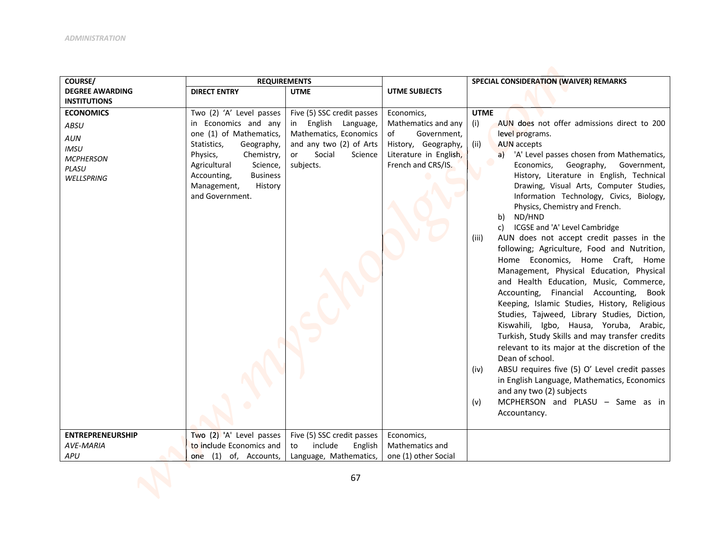| COURSE/                                                                                          | <b>REQUIREMENTS</b>                                                                                                                                                                                                                           |                                                                                                                                                    |                                                                                                                               | SPECIAL CONSIDERATION (WAIVER) REMARKS                                                                                                                                                                                                                                                                                                                                                                                                                                                                                                                                                                                                                                                                                                                                                                                                                                                                                                                                                                                                                                                                                                                                         |
|--------------------------------------------------------------------------------------------------|-----------------------------------------------------------------------------------------------------------------------------------------------------------------------------------------------------------------------------------------------|----------------------------------------------------------------------------------------------------------------------------------------------------|-------------------------------------------------------------------------------------------------------------------------------|--------------------------------------------------------------------------------------------------------------------------------------------------------------------------------------------------------------------------------------------------------------------------------------------------------------------------------------------------------------------------------------------------------------------------------------------------------------------------------------------------------------------------------------------------------------------------------------------------------------------------------------------------------------------------------------------------------------------------------------------------------------------------------------------------------------------------------------------------------------------------------------------------------------------------------------------------------------------------------------------------------------------------------------------------------------------------------------------------------------------------------------------------------------------------------|
| <b>DEGREE AWARDING</b>                                                                           | <b>DIRECT ENTRY</b>                                                                                                                                                                                                                           | <b>UTME</b>                                                                                                                                        | <b>UTME SUBJECTS</b>                                                                                                          |                                                                                                                                                                                                                                                                                                                                                                                                                                                                                                                                                                                                                                                                                                                                                                                                                                                                                                                                                                                                                                                                                                                                                                                |
| <b>INSTITUTIONS</b>                                                                              |                                                                                                                                                                                                                                               |                                                                                                                                                    |                                                                                                                               |                                                                                                                                                                                                                                                                                                                                                                                                                                                                                                                                                                                                                                                                                                                                                                                                                                                                                                                                                                                                                                                                                                                                                                                |
| <b>ECONOMICS</b><br>ABSU<br>AUN<br><b>IMSU</b><br><b>MCPHERSON</b><br><b>PLASU</b><br>WELLSPRING | Two (2) 'A' Level passes<br>in Economics and any<br>one (1) of Mathematics,<br>Statistics,<br>Geography,<br>Physics,<br>Chemistry,<br>Agricultural<br>Science,<br>Accounting,<br><b>Business</b><br>Management,<br>History<br>and Government. | Five (5) SSC credit passes<br>English Language,<br>in<br>Mathematics, Economics<br>and any two (2) of Arts<br>Social<br>or<br>Science<br>subjects. | Economics,<br>Mathematics and any<br>Government,<br>of<br>History, Geography,<br>Literature in English,<br>French and CRS/IS. | <b>UTME</b><br>AUN does not offer admissions direct to 200<br>(i)<br>level programs.<br>AUN accepts<br>(ii)<br>a) 'A' Level passes chosen from Mathematics,<br>Economics,<br>Geography,<br>Government,<br>History, Literature in English, Technical<br>Drawing, Visual Arts, Computer Studies,<br>Information Technology, Civics, Biology,<br>Physics, Chemistry and French.<br>ND/HND<br>b)<br>ICGSE and 'A' Level Cambridge<br>c)<br>AUN does not accept credit passes in the<br>(iii)<br>following; Agriculture, Food and Nutrition,<br>Home Economics, Home Craft, Home<br>Management, Physical Education, Physical<br>and Health Education, Music, Commerce,<br>Accounting, Financial Accounting,<br>Book<br>Keeping, Islamic Studies, History, Religious<br>Studies, Tajweed, Library Studies, Diction,<br>Kiswahili, Igbo, Hausa, Yoruba, Arabic,<br>Turkish, Study Skills and may transfer credits<br>relevant to its major at the discretion of the<br>Dean of school.<br>ABSU requires five (5) O' Level credit passes<br>(iv)<br>in English Language, Mathematics, Economics<br>and any two (2) subjects<br>MCPHERSON and PLASU - Same as in<br>(v)<br>Accountancy. |
| <b>ENTREPRENEURSHIP</b>                                                                          | Two (2) 'A' Level passes                                                                                                                                                                                                                      | Five (5) SSC credit passes                                                                                                                         | Economics,                                                                                                                    |                                                                                                                                                                                                                                                                                                                                                                                                                                                                                                                                                                                                                                                                                                                                                                                                                                                                                                                                                                                                                                                                                                                                                                                |
| <b>AVE-MARIA</b>                                                                                 | to include Economics and                                                                                                                                                                                                                      | include<br>English<br>to                                                                                                                           | Mathematics and                                                                                                               |                                                                                                                                                                                                                                                                                                                                                                                                                                                                                                                                                                                                                                                                                                                                                                                                                                                                                                                                                                                                                                                                                                                                                                                |
| <b>APU</b>                                                                                       | one (1) of, Accounts,                                                                                                                                                                                                                         | Language, Mathematics,                                                                                                                             | one (1) other Social                                                                                                          |                                                                                                                                                                                                                                                                                                                                                                                                                                                                                                                                                                                                                                                                                                                                                                                                                                                                                                                                                                                                                                                                                                                                                                                |
|                                                                                                  |                                                                                                                                                                                                                                               | 67                                                                                                                                                 |                                                                                                                               |                                                                                                                                                                                                                                                                                                                                                                                                                                                                                                                                                                                                                                                                                                                                                                                                                                                                                                                                                                                                                                                                                                                                                                                |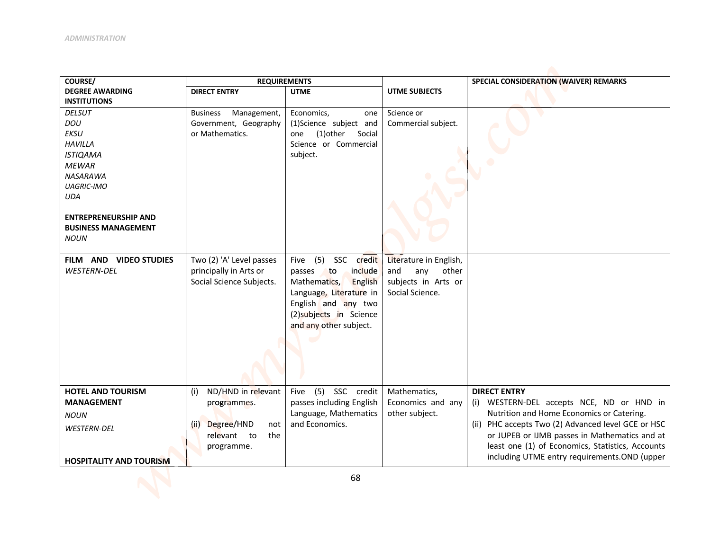| COURSE/                        | <b>REQUIREMENTS</b>            |                                |                        | SPECIAL CONSIDERATION (WAIVER) REMARKS             |
|--------------------------------|--------------------------------|--------------------------------|------------------------|----------------------------------------------------|
| <b>DEGREE AWARDING</b>         | <b>DIRECT ENTRY</b>            | <b>UTME</b>                    | UTME SUBJECTS          |                                                    |
| <b>INSTITUTIONS</b>            |                                |                                |                        |                                                    |
| <b>DELSUT</b>                  | <b>Business</b><br>Management, | Economics,<br>one              | Science or             |                                                    |
| DOU                            | Government, Geography          | (1)Science subject and         | Commercial subject.    |                                                    |
| <b>EKSU</b>                    | or Mathematics.                | (1) other<br>Social<br>one     |                        |                                                    |
| <b>HAVILLA</b>                 |                                | Science or Commercial          |                        |                                                    |
| <b>ISTIQAMA</b>                |                                | subject.                       |                        |                                                    |
| <b>MEWAR</b>                   |                                |                                |                        |                                                    |
| NASARAWA                       |                                |                                |                        |                                                    |
| <b>UAGRIC-IMO</b>              |                                |                                |                        |                                                    |
| <b>UDA</b>                     |                                |                                |                        |                                                    |
|                                |                                |                                |                        |                                                    |
| <b>ENTREPRENEURSHIP AND</b>    |                                |                                |                        |                                                    |
| <b>BUSINESS MANAGEMENT</b>     |                                |                                |                        |                                                    |
| <b>NOUN</b>                    |                                |                                |                        |                                                    |
|                                |                                |                                |                        |                                                    |
| FILM AND VIDEO STUDIES         | Two (2) 'A' Level passes       | (5)<br>SSC credit<br>Five      | Literature in English, |                                                    |
| <b>WESTERN-DEL</b>             | principally in Arts or         | include<br><b>to</b><br>passes | and<br>any<br>other    |                                                    |
|                                | Social Science Subjects.       | Mathematics,<br><b>English</b> | subjects in Arts or    |                                                    |
|                                |                                | Language, Literature in        | Social Science.        |                                                    |
|                                |                                | English and any two            |                        |                                                    |
|                                |                                | (2) subjects in Science        |                        |                                                    |
|                                |                                | and any other subject.         |                        |                                                    |
|                                |                                |                                |                        |                                                    |
|                                |                                |                                |                        |                                                    |
|                                |                                |                                |                        |                                                    |
|                                |                                |                                |                        |                                                    |
|                                |                                |                                |                        |                                                    |
| <b>HOTEL AND TOURISM</b>       | ND/HND in relevant<br>(i)      | (5) SSC credit<br>Five         | Mathematics,           | <b>DIRECT ENTRY</b>                                |
| <b>MANAGEMENT</b>              | programmes.                    | passes including English       | Economics and any      | (i) WESTERN-DEL accepts NCE, ND or HND in          |
| <b>NOUN</b>                    |                                | Language, Mathematics          | other subject.         | Nutrition and Home Economics or Catering.          |
| <b>WESTERN-DEL</b>             | Degree/HND<br>(ii)<br>not      | and Economics.                 |                        | (ii) PHC accepts Two (2) Advanced level GCE or HSC |
|                                | relevant to<br>the             |                                |                        | or JUPEB or IJMB passes in Mathematics and at      |
|                                | programme.                     |                                |                        | least one (1) of Economics, Statistics, Accounts   |
| <b>HOSPITALITY AND TOURISM</b> |                                |                                |                        | including UTME entry requirements.OND (upper       |
|                                |                                |                                |                        |                                                    |
|                                |                                | 68                             |                        |                                                    |
|                                |                                |                                |                        |                                                    |
|                                |                                |                                |                        |                                                    |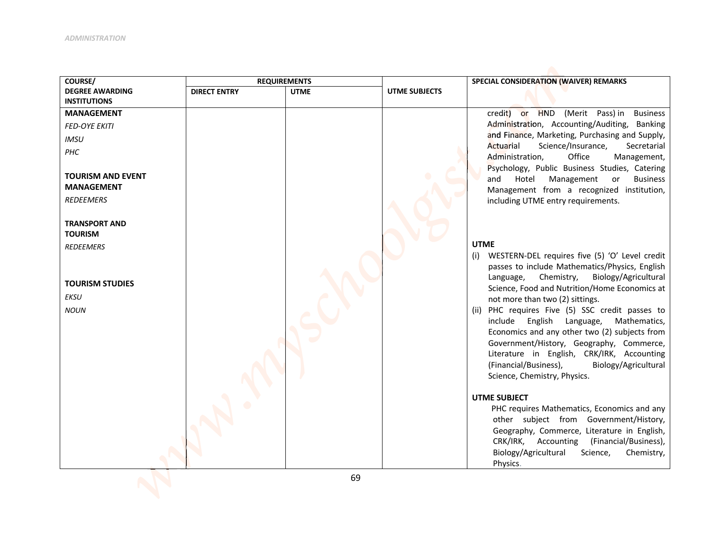| COURSE/                  | <b>REQUIREMENTS</b> |             |                      | SPECIAL CONSIDERATION (WAIVER) REMARKS                                                         |
|--------------------------|---------------------|-------------|----------------------|------------------------------------------------------------------------------------------------|
| <b>DEGREE AWARDING</b>   | <b>DIRECT ENTRY</b> | <b>UTME</b> | <b>UTME SUBJECTS</b> |                                                                                                |
| <b>INSTITUTIONS</b>      |                     |             |                      |                                                                                                |
| <b>MANAGEMENT</b>        |                     |             |                      | credit) or HND (Merit Pass) in<br><b>Business</b>                                              |
| <b>FED-OYE EKITI</b>     |                     |             |                      | Administration, Accounting/Auditing, Banking                                                   |
| <b>IMSU</b>              |                     |             |                      | and Finance, Marketing, Purchasing and Supply,                                                 |
| PHC                      |                     |             |                      | Actuarial<br>Science/Insurance,<br>Secretarial<br>Office<br>Administration,<br>Management,     |
|                          |                     |             |                      | Psychology, Public Business Studies, Catering                                                  |
| <b>TOURISM AND EVENT</b> |                     |             |                      | Hotel<br>Management<br><b>Business</b><br>and<br>or                                            |
| <b>MANAGEMENT</b>        |                     |             |                      | Management from a recognized institution,                                                      |
| <b>REDEEMERS</b>         |                     |             |                      | including UTME entry requirements.                                                             |
|                          |                     |             |                      |                                                                                                |
| <b>TRANSPORT AND</b>     |                     |             |                      |                                                                                                |
| <b>TOURISM</b>           |                     |             |                      |                                                                                                |
| <b>REDEEMERS</b>         |                     |             |                      | <b>UTME</b>                                                                                    |
|                          |                     |             |                      | (i) WESTERN-DEL requires five (5) 'O' Level credit                                             |
|                          |                     |             |                      | passes to include Mathematics/Physics, English<br>Biology/Agricultural<br>Language, Chemistry, |
| <b>TOURISM STUDIES</b>   |                     |             |                      | Science, Food and Nutrition/Home Economics at                                                  |
| <b>EKSU</b>              |                     |             |                      | not more than two (2) sittings.                                                                |
| <b>NOUN</b>              |                     |             |                      | (ii) PHC requires Five (5) SSC credit passes to                                                |
|                          |                     |             |                      | include English Language,<br>Mathematics,                                                      |
|                          |                     |             |                      | Economics and any other two (2) subjects from                                                  |
|                          |                     |             |                      | Government/History, Geography, Commerce,                                                       |
|                          |                     |             |                      | Literature in English, CRK/IRK, Accounting                                                     |
|                          |                     |             |                      | (Financial/Business),<br>Biology/Agricultural                                                  |
|                          |                     |             |                      | Science, Chemistry, Physics.                                                                   |
|                          |                     |             |                      | <b>UTME SUBJECT</b>                                                                            |
|                          |                     |             |                      | PHC requires Mathematics, Economics and any                                                    |
|                          |                     |             |                      | other subject from Government/History,                                                         |
|                          |                     |             |                      | Geography, Commerce, Literature in English,                                                    |
|                          |                     |             |                      | CRK/IRK, Accounting (Financial/Business),                                                      |
|                          |                     |             |                      | Biology/Agricultural<br>Science,<br>Chemistry,                                                 |
|                          |                     |             |                      | Physics.                                                                                       |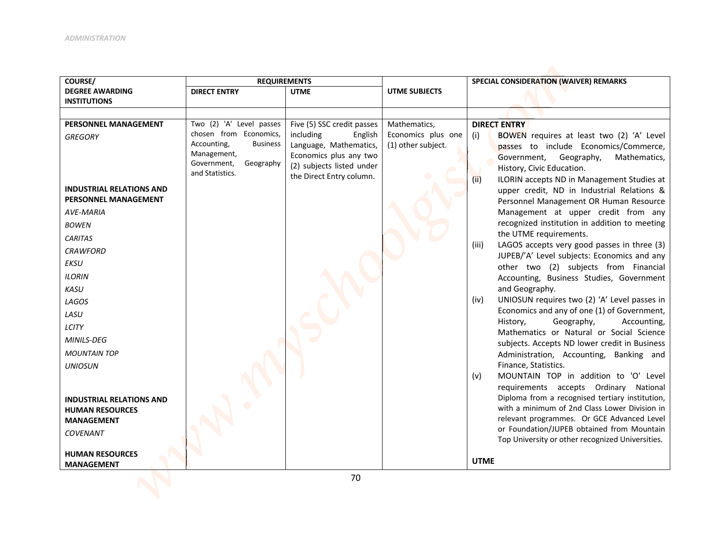| COURSE/                         | <b>REQUIREMENTS</b>                                |                                                |                                          | SPECIAL CONSIDERATION (WAIVER) REMARKS                                                              |
|---------------------------------|----------------------------------------------------|------------------------------------------------|------------------------------------------|-----------------------------------------------------------------------------------------------------|
| <b>DEGREE AWARDING</b>          | <b>DIRECT ENTRY</b>                                | <b>UTME</b>                                    | UTME SUBJECTS                            |                                                                                                     |
| <b>INSTITUTIONS</b>             |                                                    |                                                |                                          |                                                                                                     |
|                                 |                                                    |                                                |                                          |                                                                                                     |
| PERSONNEL MANAGEMENT            | Two (2) 'A' Level passes<br>chosen from Economics, | Five (5) SSC credit passes                     | Mathematics,                             | <b>DIRECT ENTRY</b>                                                                                 |
| <b>GREGORY</b>                  | Accounting,<br><b>Business</b>                     | including<br>English<br>Language, Mathematics, | Economics plus one<br>(1) other subject. | BOWEN requires at least two (2) 'A' Level<br>(i)                                                    |
|                                 | Management,                                        | Economics plus any two                         |                                          | passes to include Economics/Commerce,<br>Government, Geography,<br>Mathematics,                     |
|                                 | Government,<br>Geography                           | (2) subjects listed under                      |                                          | History, Civic Education.                                                                           |
|                                 | and Statistics.                                    | the Direct Entry column.                       |                                          | (ii)<br>ILORIN accepts ND in Management Studies at                                                  |
| <b>INDUSTRIAL RELATIONS AND</b> |                                                    |                                                |                                          | upper credit, ND in Industrial Relations &                                                          |
| PERSONNEL MANAGEMENT            |                                                    |                                                |                                          | Personnel Management OR Human Resource                                                              |
| <b>AVE-MARIA</b>                |                                                    |                                                |                                          | Management at upper credit from any                                                                 |
| <b>BOWEN</b>                    |                                                    |                                                |                                          | recognized institution in addition to meeting                                                       |
| <b>CARITAS</b>                  |                                                    |                                                |                                          | the UTME requirements.                                                                              |
| <b>CRAWFORD</b>                 |                                                    |                                                |                                          | LAGOS accepts very good passes in three (3)<br>(iii)<br>JUPEB/'A' Level subjects: Economics and any |
| EKSU                            |                                                    |                                                |                                          | other two (2) subjects from Financial                                                               |
| <b>ILORIN</b>                   |                                                    |                                                |                                          | Accounting, Business Studies, Government                                                            |
| <b>KASU</b>                     |                                                    |                                                |                                          | and Geography.                                                                                      |
| LAGOS                           |                                                    |                                                |                                          | UNIOSUN requires two (2) 'A' Level passes in<br>(iv)                                                |
| LASU                            |                                                    |                                                |                                          | Economics and any of one (1) of Government,<br>Geography,<br>History,<br>Accounting,                |
| LCITY                           |                                                    |                                                |                                          | Mathematics or Natural or Social Science                                                            |
| MINILS-DEG                      |                                                    |                                                |                                          | subjects. Accepts ND lower credit in Business                                                       |
| <b>MOUNTAIN TOP</b>             |                                                    |                                                |                                          | Administration, Accounting, Banking and                                                             |
| <b>UNIOSUN</b>                  |                                                    |                                                |                                          | Finance, Statistics.                                                                                |
|                                 |                                                    |                                                |                                          | MOUNTAIN TOP in addition to 'O' Level<br>(v)<br>requirements accepts Ordinary National              |
| <b>INDUSTRIAL RELATIONS AND</b> |                                                    |                                                |                                          | Diploma from a recognised tertiary institution,                                                     |
| <b>HUMAN RESOURCES</b>          |                                                    |                                                |                                          | with a minimum of 2nd Class Lower Division in                                                       |
| <b>MANAGEMENT</b>               |                                                    |                                                |                                          | relevant programmes. Or GCE Advanced Level                                                          |
| <b>COVENANT</b>                 |                                                    |                                                |                                          | or Foundation/JUPEB obtained from Mountain<br>Top University or other recognized Universities.      |
| <b>HUMAN RESOURCES</b>          |                                                    |                                                |                                          |                                                                                                     |
| <b>MANAGEMENT</b>               |                                                    |                                                |                                          | <b>UTME</b>                                                                                         |
|                                 |                                                    |                                                |                                          |                                                                                                     |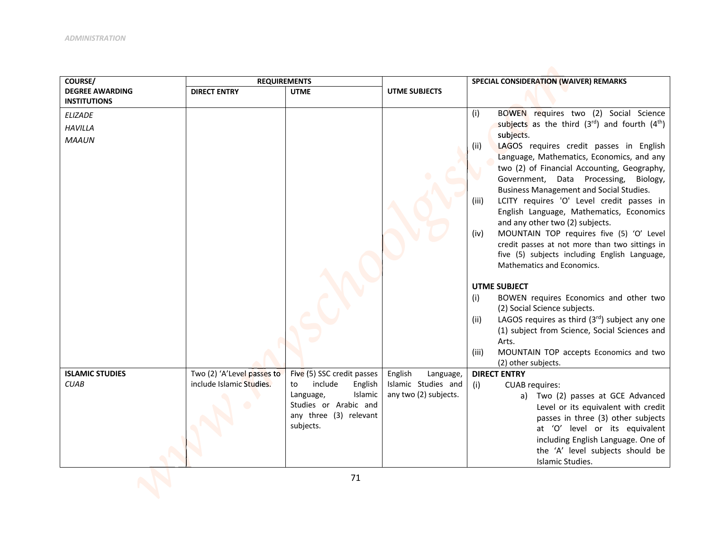| COURSE/                                       | <b>REQUIREMENTS</b>                                    |                                                        |                                             | SPECIAL CONSIDERATION (WAIVER) REMARKS                                                                   |
|-----------------------------------------------|--------------------------------------------------------|--------------------------------------------------------|---------------------------------------------|----------------------------------------------------------------------------------------------------------|
| <b>DEGREE AWARDING</b><br><b>INSTITUTIONS</b> | <b>DIRECT ENTRY</b>                                    | <b>UTME</b>                                            | <b>UTME SUBJECTS</b>                        |                                                                                                          |
| <b>ELIZADE</b>                                |                                                        |                                                        |                                             | BOWEN requires two (2) Social Science<br>(i)                                                             |
| <b>HAVILLA</b>                                |                                                        |                                                        |                                             | subjects as the third $(3^{rd})$ and fourth $(4^{th})$                                                   |
| <b>MAAUN</b>                                  |                                                        |                                                        |                                             | subjects.                                                                                                |
|                                               |                                                        |                                                        |                                             | LAGOS requires credit passes in English<br>(ii)                                                          |
|                                               |                                                        |                                                        |                                             | Language, Mathematics, Economics, and any<br>two (2) of Financial Accounting, Geography,                 |
|                                               |                                                        |                                                        |                                             | Government, Data Processing,<br>Biology,                                                                 |
|                                               |                                                        |                                                        |                                             | <b>Business Management and Social Studies.</b>                                                           |
|                                               |                                                        |                                                        |                                             | LCITY requires 'O' Level credit passes in<br>(iii)                                                       |
|                                               |                                                        |                                                        |                                             | English Language, Mathematics, Economics                                                                 |
|                                               |                                                        |                                                        |                                             | and any other two (2) subjects.                                                                          |
|                                               |                                                        |                                                        |                                             | MOUNTAIN TOP requires five (5) 'O' Level<br>(iv)                                                         |
|                                               |                                                        |                                                        |                                             | credit passes at not more than two sittings in<br>five (5) subjects including English Language,          |
|                                               |                                                        |                                                        |                                             | Mathematics and Economics.                                                                               |
|                                               |                                                        |                                                        |                                             |                                                                                                          |
|                                               |                                                        |                                                        |                                             | <b>UTME SUBJECT</b>                                                                                      |
|                                               |                                                        |                                                        |                                             | BOWEN requires Economics and other two<br>(i)                                                            |
|                                               |                                                        |                                                        |                                             | (2) Social Science subjects.                                                                             |
|                                               |                                                        |                                                        |                                             | LAGOS requires as third $(3rd)$ subject any one<br>(ii)<br>(1) subject from Science, Social Sciences and |
|                                               |                                                        |                                                        |                                             | Arts.                                                                                                    |
|                                               |                                                        |                                                        |                                             | MOUNTAIN TOP accepts Economics and two<br>(iii)                                                          |
|                                               |                                                        |                                                        |                                             | (2) other subjects.                                                                                      |
| <b>ISLAMIC STUDIES</b><br><b>CUAB</b>         | Two (2) 'A'Level passes to<br>include Islamic Studies. | Five (5) SSC credit passes<br>include<br>English<br>to | English<br>Language,<br>Islamic Studies and | <b>DIRECT ENTRY</b><br><b>CUAB</b> requires:<br>(i)                                                      |
|                                               |                                                        | Islamic<br>Language,                                   | any two (2) subjects.                       | a) Two (2) passes at GCE Advanced                                                                        |
|                                               |                                                        | Studies or Arabic and                                  |                                             | Level or its equivalent with credit                                                                      |
|                                               |                                                        | any three (3) relevant                                 |                                             | passes in three (3) other subjects                                                                       |
|                                               |                                                        | subjects.                                              |                                             | at 'O' level or its equivalent                                                                           |
|                                               |                                                        |                                                        |                                             | including English Language. One of                                                                       |
|                                               |                                                        |                                                        |                                             | the 'A' level subjects should be                                                                         |
|                                               |                                                        |                                                        |                                             | Islamic Studies.                                                                                         |
|                                               |                                                        | 71                                                     |                                             |                                                                                                          |
|                                               |                                                        |                                                        |                                             |                                                                                                          |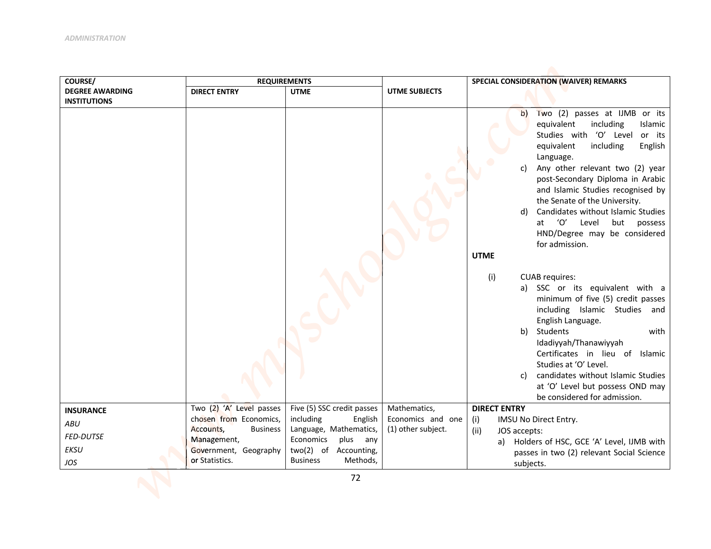| COURSE/                | <b>REQUIREMENTS</b>          |                             |                      | SPECIAL CONSIDERATION (WAIVER) REMARKS                                                                                                                                                                                                                                                                                                                                                                                                                                                                                                                                                                                                                                                                                                                    |
|------------------------|------------------------------|-----------------------------|----------------------|-----------------------------------------------------------------------------------------------------------------------------------------------------------------------------------------------------------------------------------------------------------------------------------------------------------------------------------------------------------------------------------------------------------------------------------------------------------------------------------------------------------------------------------------------------------------------------------------------------------------------------------------------------------------------------------------------------------------------------------------------------------|
| <b>DEGREE AWARDING</b> | <b>DIRECT ENTRY</b>          | <b>UTME</b>                 | <b>UTME SUBJECTS</b> |                                                                                                                                                                                                                                                                                                                                                                                                                                                                                                                                                                                                                                                                                                                                                           |
| <b>INSTITUTIONS</b>    |                              |                             |                      | Two (2) passes at IJMB or its<br>$\mathbf{b}$<br>equivalent<br>including<br>Islamic<br>Studies with 'O' Level or its<br>equivalent<br>including<br>English<br>Language.<br>Any other relevant two (2) year<br>C)<br>post-Secondary Diploma in Arabic<br>and Islamic Studies recognised by<br>the Senate of the University.<br>Candidates without Islamic Studies<br>d)<br>'O'<br>Level<br>but<br>at<br>possess<br>HND/Degree may be considered<br>for admission.<br><b>UTME</b><br>(i)<br><b>CUAB requires:</b><br>a) SSC or its equivalent with a<br>minimum of five (5) credit passes<br>including Islamic Studies and<br>English Language.<br>b) Students<br>with<br>Idadiyyah/Thanawiyyah<br>Certificates in lieu of Islamic<br>Studies at 'O' Level. |
|                        |                              |                             |                      | candidates without Islamic Studies<br>C)<br>at 'O' Level but possess OND may<br>be considered for admission.                                                                                                                                                                                                                                                                                                                                                                                                                                                                                                                                                                                                                                              |
| <b>INSURANCE</b>       | Two (2) 'A' Level passes     | Five (5) SSC credit passes  | Mathematics,         | <b>DIRECT ENTRY</b>                                                                                                                                                                                                                                                                                                                                                                                                                                                                                                                                                                                                                                                                                                                                       |
| ABU                    | chosen from Economics,       | including<br>English        | Economics and one    | (i)<br>IMSU No Direct Entry.                                                                                                                                                                                                                                                                                                                                                                                                                                                                                                                                                                                                                                                                                                                              |
| <b>FED-DUTSE</b>       | Accounts,<br><b>Business</b> | Language, Mathematics,      | (1) other subject.   | JOS accepts:<br>(ii)                                                                                                                                                                                                                                                                                                                                                                                                                                                                                                                                                                                                                                                                                                                                      |
|                        | Management,                  | Economics<br>plus<br>any    |                      | a) Holders of HSC, GCE 'A' Level, IJMB with                                                                                                                                                                                                                                                                                                                                                                                                                                                                                                                                                                                                                                                                                                               |
| <b>EKSU</b>            | Government, Geography        | two(2) of Accounting,       |                      | passes in two (2) relevant Social Science                                                                                                                                                                                                                                                                                                                                                                                                                                                                                                                                                                                                                                                                                                                 |
| JOS                    | or Statistics.               | <b>Business</b><br>Methods, |                      | subjects.                                                                                                                                                                                                                                                                                                                                                                                                                                                                                                                                                                                                                                                                                                                                                 |
|                        |                              | 72                          |                      |                                                                                                                                                                                                                                                                                                                                                                                                                                                                                                                                                                                                                                                                                                                                                           |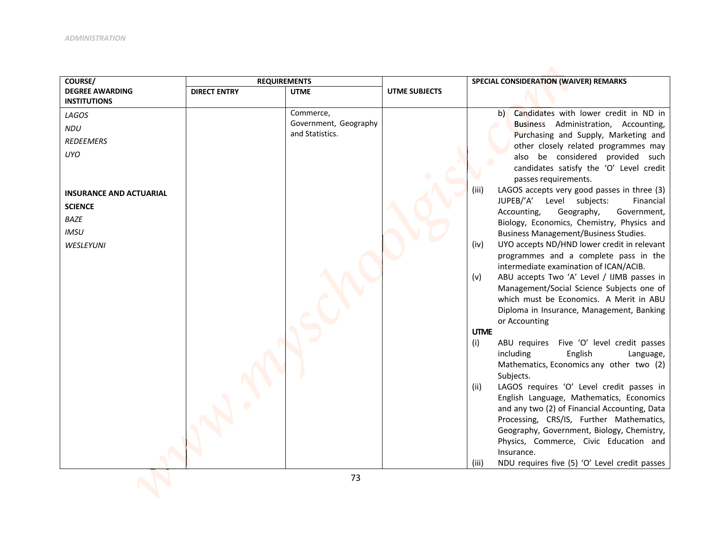| COURSE/                        | <b>REQUIREMENTS</b> |                                          |                      | SPECIAL CONSIDERATION (WAIVER) REMARKS                                               |
|--------------------------------|---------------------|------------------------------------------|----------------------|--------------------------------------------------------------------------------------|
| <b>DEGREE AWARDING</b>         | <b>DIRECT ENTRY</b> | <b>UTME</b>                              | <b>UTME SUBJECTS</b> |                                                                                      |
| <b>INSTITUTIONS</b>            |                     |                                          |                      |                                                                                      |
| LAGOS                          |                     | Commerce,                                |                      | b) Candidates with lower credit in ND in                                             |
| NDU                            |                     | Government, Geography<br>and Statistics. |                      | Business Administration, Accounting,<br>Purchasing and Supply, Marketing and         |
| <b>REDEEMERS</b>               |                     |                                          |                      | other closely related programmes may                                                 |
| <b>UYO</b>                     |                     |                                          |                      | also be considered provided such                                                     |
|                                |                     |                                          |                      | candidates satisfy the 'O' Level credit                                              |
|                                |                     |                                          |                      | passes requirements.                                                                 |
| <b>INSURANCE AND ACTUARIAL</b> |                     |                                          |                      | LAGOS accepts very good passes in three (3)<br>(iii)                                 |
|                                |                     |                                          |                      | JUPEB/'A' Level subjects:<br>Financial                                               |
| <b>SCIENCE</b>                 |                     |                                          |                      | Accounting,<br>Geography,<br>Government,                                             |
| <b>BAZE</b>                    |                     |                                          |                      | Biology, Economics, Chemistry, Physics and                                           |
| <b>IMSU</b>                    |                     |                                          |                      | <b>Business Management/Business Studies.</b>                                         |
| WESLEYUNI                      |                     |                                          |                      | UYO accepts ND/HND lower credit in relevant<br>(iv)                                  |
|                                |                     |                                          |                      | programmes and a complete pass in the                                                |
|                                |                     |                                          |                      | intermediate examination of ICAN/ACIB.                                               |
|                                |                     |                                          |                      | ABU accepts Two 'A' Level / IJMB passes in<br>(v)                                    |
|                                |                     |                                          |                      | Management/Social Science Subjects one of<br>which must be Economics. A Merit in ABU |
|                                |                     |                                          |                      | Diploma in Insurance, Management, Banking                                            |
|                                |                     |                                          |                      | or Accounting                                                                        |
|                                |                     |                                          |                      | <b>UTME</b>                                                                          |
|                                |                     |                                          |                      | (i)<br>ABU requires Five 'O' level credit passes                                     |
|                                |                     |                                          |                      | including<br>English<br>Language,                                                    |
|                                |                     |                                          |                      | Mathematics, Economics any other two (2)                                             |
|                                |                     |                                          |                      | Subjects.                                                                            |
|                                |                     |                                          |                      | LAGOS requires 'O' Level credit passes in<br>(ii)                                    |
|                                |                     |                                          |                      | English Language, Mathematics, Economics                                             |
|                                |                     |                                          |                      | and any two (2) of Financial Accounting, Data                                        |
|                                |                     |                                          |                      | Processing, CRS/IS, Further Mathematics,                                             |
|                                |                     |                                          |                      | Geography, Government, Biology, Chemistry,<br>Physics, Commerce, Civic Education and |
|                                |                     |                                          |                      | Insurance.                                                                           |
|                                |                     |                                          |                      | NDU requires five (5) 'O' Level credit passes<br>(iii)                               |
|                                |                     |                                          |                      |                                                                                      |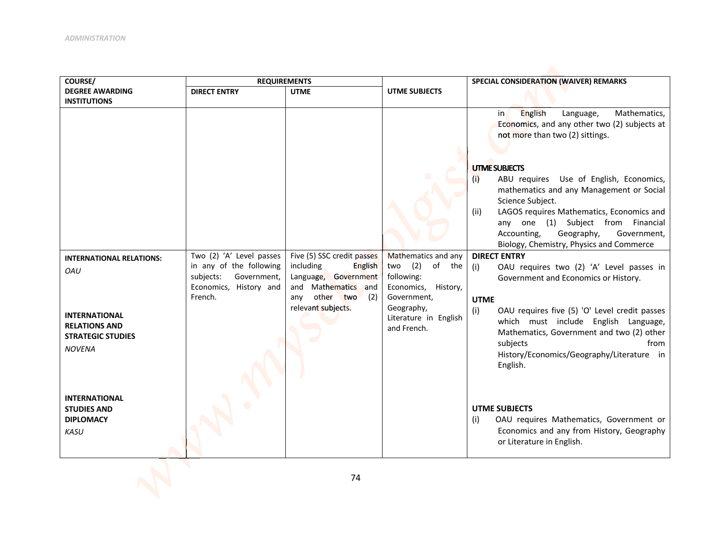| COURSE/                                          | <b>REQUIREMENTS</b>                                 |                                              |                                    | SPECIAL CONSIDERATION (WAIVER) REMARKS                                                                                         |
|--------------------------------------------------|-----------------------------------------------------|----------------------------------------------|------------------------------------|--------------------------------------------------------------------------------------------------------------------------------|
| <b>DEGREE AWARDING</b>                           | <b>DIRECT ENTRY</b>                                 | <b>UTME</b>                                  | <b>UTME SUBJECTS</b>               |                                                                                                                                |
| <b>INSTITUTIONS</b>                              |                                                     |                                              |                                    |                                                                                                                                |
|                                                  |                                                     |                                              |                                    | English<br>Mathematics,<br>Language,<br>in,<br>Economics, and any other two (2) subjects at<br>not more than two (2) sittings. |
|                                                  |                                                     |                                              |                                    |                                                                                                                                |
|                                                  |                                                     |                                              |                                    | <b>UTME SUBJECTS</b>                                                                                                           |
|                                                  |                                                     |                                              |                                    | ABU requires Use of English, Economics,<br>(i)                                                                                 |
|                                                  |                                                     |                                              |                                    | mathematics and any Management or Social<br>Science Subject.                                                                   |
|                                                  |                                                     |                                              |                                    | LAGOS requires Mathematics, Economics and<br>(ii)                                                                              |
|                                                  |                                                     |                                              |                                    | any one (1) Subject from Financial                                                                                             |
|                                                  |                                                     |                                              |                                    | Accounting,<br>Geography,<br>Government,<br>Biology, Chemistry, Physics and Commerce                                           |
| <b>INTERNATIONAL RELATIONS:</b>                  | Two (2) 'A' Level passes                            | Five (5) SSC credit passes                   | Mathematics and any                | <b>DIRECT ENTRY</b>                                                                                                            |
| <b>OAU</b>                                       | in any of the following<br>subjects:<br>Government, | including<br>English<br>Language, Government | (2)<br>two<br>of the<br>following: | OAU requires two (2) 'A' Level passes in<br>(i)<br>Government and Economics or History.                                        |
|                                                  | Economics, History and                              | and Mathematics and                          | Economics, History,                |                                                                                                                                |
|                                                  | French.                                             | any other two<br>(2)<br>relevant subjects.   | Government,<br>Geography,          | <b>UTME</b>                                                                                                                    |
| <b>INTERNATIONAL</b>                             |                                                     |                                              | Literature in English              | (i)<br>OAU requires five (5) 'O' Level credit passes<br>which must include English Language,                                   |
| <b>RELATIONS AND</b><br><b>STRATEGIC STUDIES</b> |                                                     |                                              | and French.                        | Mathematics, Government and two (2) other                                                                                      |
| <b>NOVENA</b>                                    |                                                     |                                              |                                    | subjects<br>from<br>History/Economics/Geography/Literature in<br>English.                                                      |
|                                                  |                                                     |                                              |                                    |                                                                                                                                |
| <b>INTERNATIONAL</b>                             |                                                     |                                              |                                    |                                                                                                                                |
| <b>STUDIES AND</b>                               |                                                     |                                              |                                    | <b>UTME SUBJECTS</b>                                                                                                           |
| <b>DIPLOMACY</b><br><b>KASU</b>                  |                                                     |                                              |                                    | (i)<br>OAU requires Mathematics, Government or<br>Economics and any from History, Geography                                    |
|                                                  |                                                     |                                              |                                    | or Literature in English.                                                                                                      |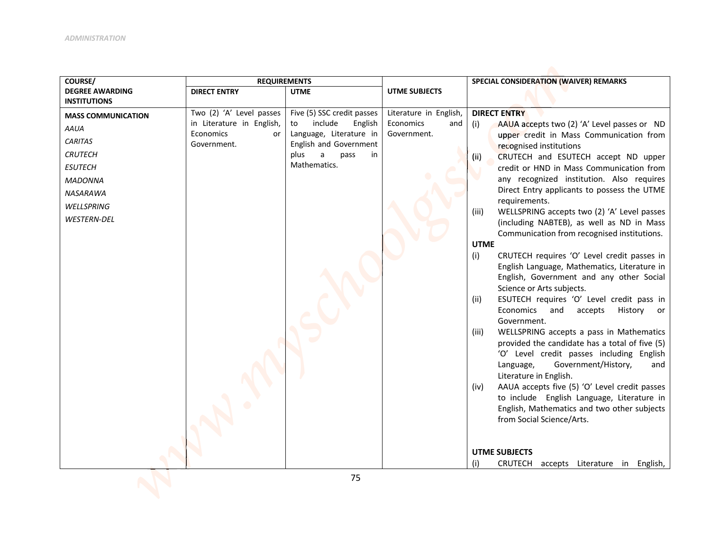| COURSE/                   | <b>REQUIREMENTS</b>                    |                                                     |                                 | SPECIAL CONSIDERATION (WAIVER) REMARKS                                                  |
|---------------------------|----------------------------------------|-----------------------------------------------------|---------------------------------|-----------------------------------------------------------------------------------------|
| <b>DEGREE AWARDING</b>    | <b>DIRECT ENTRY</b>                    | <b>UTME</b>                                         | UTME SUBJECTS                   |                                                                                         |
| <b>INSTITUTIONS</b>       |                                        |                                                     |                                 |                                                                                         |
| <b>MASS COMMUNICATION</b> | Two (2) 'A' Level passes               | Five (5) SSC credit passes                          | Literature in English,          | <b>DIRECT ENTRY</b>                                                                     |
| <b>AAUA</b>               | in Literature in English,<br>Economics | include<br>English<br>to<br>Language, Literature in | Economics<br>and<br>Government. | (i)<br>AAUA accepts two (2) 'A' Level passes or ND                                      |
| <b>CARITAS</b>            | or<br>Government.                      | English and Government                              |                                 | upper credit in Mass Communication from                                                 |
| <b>CRUTECH</b>            |                                        | plus<br>a<br>pass<br>in                             |                                 | recognised institutions                                                                 |
| <b>ESUTECH</b>            |                                        | Mathematics.                                        |                                 | CRUTECH and ESUTECH accept ND upper<br>(ii)<br>credit or HND in Mass Communication from |
|                           |                                        |                                                     |                                 | any recognized institution. Also requires                                               |
| <b>MADONNA</b>            |                                        |                                                     |                                 | Direct Entry applicants to possess the UTME                                             |
| NASARAWA                  |                                        |                                                     |                                 | requirements.                                                                           |
| WELLSPRING                |                                        |                                                     |                                 | WELLSPRING accepts two (2) 'A' Level passes<br>(iii)                                    |
| WESTERN-DEL               |                                        |                                                     |                                 | (including NABTEB), as well as ND in Mass                                               |
|                           |                                        |                                                     |                                 | Communication from recognised institutions.                                             |
|                           |                                        |                                                     |                                 | <b>UTME</b>                                                                             |
|                           |                                        |                                                     |                                 | (i)<br>CRUTECH requires 'O' Level credit passes in                                      |
|                           |                                        |                                                     |                                 | English Language, Mathematics, Literature in                                            |
|                           |                                        |                                                     |                                 | English, Government and any other Social                                                |
|                           |                                        |                                                     |                                 | Science or Arts subjects.                                                               |
|                           |                                        |                                                     |                                 | ESUTECH requires 'O' Level credit pass in<br>(ii)                                       |
|                           |                                        |                                                     |                                 | Economics<br>and<br>accepts<br>History<br>or                                            |
|                           |                                        |                                                     |                                 | Government.                                                                             |
|                           |                                        |                                                     |                                 | WELLSPRING accepts a pass in Mathematics<br>(iii)                                       |
|                           |                                        |                                                     |                                 | provided the candidate has a total of five (5)                                          |
|                           |                                        |                                                     |                                 | 'O' Level credit passes including English<br>Government/History,<br>Language,           |
|                           |                                        |                                                     |                                 | and<br>Literature in English.                                                           |
|                           |                                        |                                                     |                                 | AAUA accepts five (5) 'O' Level credit passes<br>(iv)                                   |
|                           |                                        |                                                     |                                 | to include English Language, Literature in                                              |
|                           |                                        |                                                     |                                 | English, Mathematics and two other subjects                                             |
|                           |                                        |                                                     |                                 | from Social Science/Arts.                                                               |
|                           |                                        |                                                     |                                 |                                                                                         |
|                           |                                        |                                                     |                                 |                                                                                         |
|                           |                                        |                                                     |                                 | <b>UTME SUBJECTS</b>                                                                    |
|                           |                                        |                                                     |                                 | (i)<br>CRUTECH<br>accepts Literature in English,                                        |
|                           |                                        | 7F.                                                 |                                 |                                                                                         |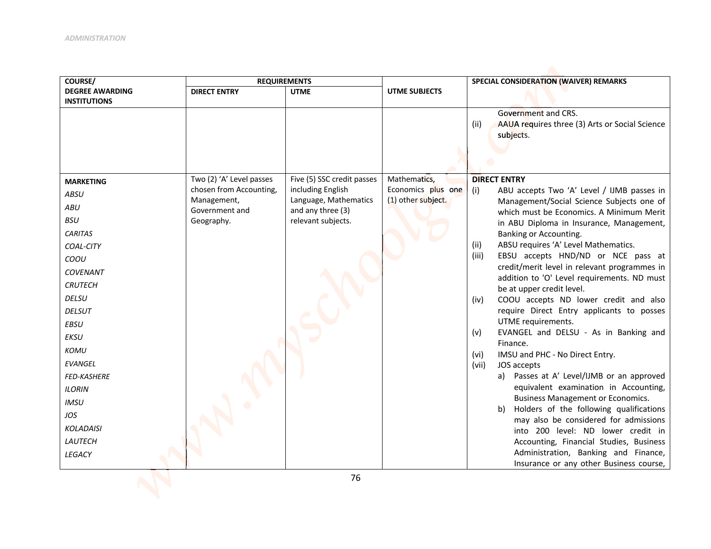| COURSE/                | <b>REQUIREMENTS</b>           |                                            |                      | SPECIAL CONSIDERATION (WAIVER) REMARKS                                                      |
|------------------------|-------------------------------|--------------------------------------------|----------------------|---------------------------------------------------------------------------------------------|
| <b>DEGREE AWARDING</b> | <b>DIRECT ENTRY</b>           | <b>UTME</b>                                | <b>UTME SUBJECTS</b> |                                                                                             |
| <b>INSTITUTIONS</b>    |                               |                                            |                      | Government and CRS.<br>AAUA requires three (3) Arts or Social Science<br>(ii)<br>subjects.  |
| <b>MARKETING</b>       | Two (2) 'A' Level passes      | Five (5) SSC credit passes                 | Mathematics,         | <b>DIRECT ENTRY</b>                                                                         |
| <b>ABSU</b>            | chosen from Accounting,       | including English                          | Economics plus one   | ABU accepts Two 'A' Level / IJMB passes in<br>(i)                                           |
| <b>ABU</b>             | Management,<br>Government and | Language, Mathematics<br>and any three (3) | (1) other subject.   | Management/Social Science Subjects one of<br>which must be Economics. A Minimum Merit       |
| <b>BSU</b>             | Geography.                    | relevant subjects.                         |                      | in ABU Diploma in Insurance, Management,                                                    |
| <b>CARITAS</b>         |                               |                                            |                      | Banking or Accounting.                                                                      |
| COAL-CITY              |                               |                                            |                      | ABSU requires 'A' Level Mathematics.<br>(ii)                                                |
| COOU                   |                               |                                            |                      | EBSU accepts HND/ND or NCE pass at<br>(iii)                                                 |
| <b>COVENANT</b>        |                               |                                            |                      | credit/merit level in relevant programmes in<br>addition to 'O' Level requirements. ND must |
| <b>CRUTECH</b>         |                               |                                            |                      | be at upper credit level.                                                                   |
| <b>DELSU</b>           |                               |                                            |                      | COOU accepts ND lower credit and also<br>(iv)                                               |
| <b>DELSUT</b>          |                               |                                            |                      | require Direct Entry applicants to posses                                                   |
| EBSU                   |                               |                                            |                      | UTME requirements.                                                                          |
| <b>EKSU</b>            |                               |                                            |                      | EVANGEL and DELSU - As in Banking and<br>(v)<br>Finance.                                    |
| <b>KOMU</b>            |                               |                                            |                      | IMSU and PHC - No Direct Entry.<br>(vi)                                                     |
| <b>EVANGEL</b>         |                               |                                            |                      | (vii)<br>JOS accepts                                                                        |
| <b>FED-KASHERE</b>     |                               |                                            |                      | a) Passes at A' Level/IJMB or an approved                                                   |
| <b>ILORIN</b>          |                               |                                            |                      | equivalent examination in Accounting,<br><b>Business Management or Economics.</b>           |
| <b>IMSU</b>            |                               |                                            |                      | b) Holders of the following qualifications                                                  |
| JOS                    |                               |                                            |                      | may also be considered for admissions                                                       |
| <b>KOLADAISI</b>       |                               |                                            |                      | into 200 level: ND lower credit in                                                          |
| LAUTECH                |                               |                                            |                      | Accounting, Financial Studies, Business                                                     |
| LEGACY                 |                               |                                            |                      | Administration, Banking and Finance,<br>Insurance or any other Business course,             |
|                        |                               |                                            |                      |                                                                                             |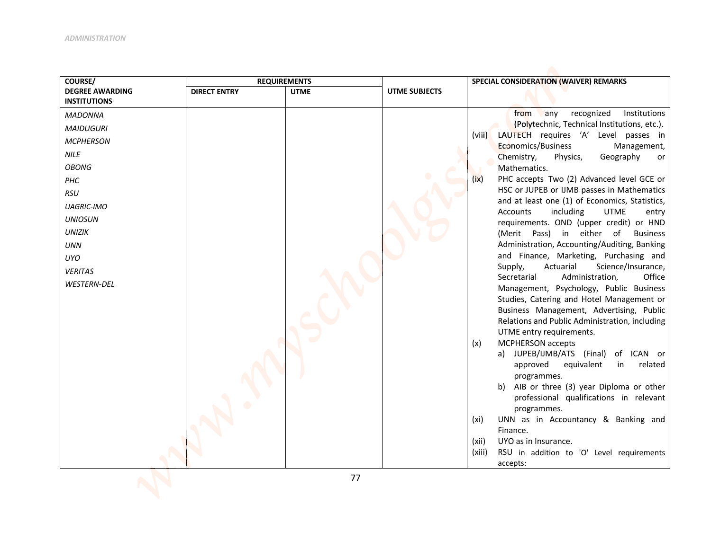| COURSE/                                                                                                                                                                                                                                                       | <b>REQUIREMENTS</b> |             |               | SPECIAL CONSIDERATION (WAIVER) REMARKS                                                                                                                                                                                                                                                                                                                                                                                                                                                                                                                                                                                                                                                                                                                                                                                                                                                                                                                                                                                                                                 |
|---------------------------------------------------------------------------------------------------------------------------------------------------------------------------------------------------------------------------------------------------------------|---------------------|-------------|---------------|------------------------------------------------------------------------------------------------------------------------------------------------------------------------------------------------------------------------------------------------------------------------------------------------------------------------------------------------------------------------------------------------------------------------------------------------------------------------------------------------------------------------------------------------------------------------------------------------------------------------------------------------------------------------------------------------------------------------------------------------------------------------------------------------------------------------------------------------------------------------------------------------------------------------------------------------------------------------------------------------------------------------------------------------------------------------|
| <b>DEGREE AWARDING</b>                                                                                                                                                                                                                                        | <b>DIRECT ENTRY</b> | <b>UTME</b> | UTME SUBJECTS |                                                                                                                                                                                                                                                                                                                                                                                                                                                                                                                                                                                                                                                                                                                                                                                                                                                                                                                                                                                                                                                                        |
| <b>INSTITUTIONS</b><br><b>MADONNA</b><br><b>MAIDUGURI</b><br><b>MCPHERSON</b><br><b>NILE</b><br><b>OBONG</b><br>PHC<br><b>RSU</b><br><b>UAGRIC-IMO</b><br><b>UNIOSUN</b><br><b>UNIZIK</b><br><b>UNN</b><br><b>UYO</b><br><b>VERITAS</b><br><b>WESTERN-DEL</b> |                     |             |               | from<br>recognized<br>Institutions<br>any<br>(Polytechnic, Technical Institutions, etc.).<br>LAUTECH requires 'A' Level passes in<br>(viii)<br>Economics/Business<br>Management,<br>Chemistry,<br>Geography<br>Physics,<br>or<br>Mathematics.<br>PHC accepts Two (2) Advanced level GCE or<br>(ix)<br>HSC or JUPEB or IJMB passes in Mathematics<br>and at least one (1) of Economics, Statistics,<br>Accounts<br>including<br><b>UTME</b><br>entry<br>requirements. OND (upper credit) or HND<br>(Merit Pass) in either of<br><b>Business</b><br>Administration, Accounting/Auditing, Banking<br>and Finance, Marketing, Purchasing and<br>Science/Insurance,<br>Supply,<br>Actuarial<br>Office<br>Secretarial<br>Administration,<br>Management, Psychology, Public Business<br>Studies, Catering and Hotel Management or<br>Business Management, Advertising, Public<br>Relations and Public Administration, including<br>UTME entry requirements.<br>MCPHERSON accepts<br>(x)<br>a) JUPEB/IJMB/ATS (Final)<br>of ICAN or<br>approved<br>equivalent<br>related<br>in |
|                                                                                                                                                                                                                                                               |                     |             |               | programmes.<br>b) AIB or three (3) year Diploma or other<br>professional qualifications in relevant<br>programmes.                                                                                                                                                                                                                                                                                                                                                                                                                                                                                                                                                                                                                                                                                                                                                                                                                                                                                                                                                     |
|                                                                                                                                                                                                                                                               |                     |             |               | UNN as in Accountancy & Banking and<br>(xi)<br>Finance.<br>UYO as in Insurance.<br>(xii)<br>(xiii)<br>RSU in addition to 'O' Level requirements                                                                                                                                                                                                                                                                                                                                                                                                                                                                                                                                                                                                                                                                                                                                                                                                                                                                                                                        |
|                                                                                                                                                                                                                                                               |                     |             |               | accepts:                                                                                                                                                                                                                                                                                                                                                                                                                                                                                                                                                                                                                                                                                                                                                                                                                                                                                                                                                                                                                                                               |
|                                                                                                                                                                                                                                                               |                     | 77          |               |                                                                                                                                                                                                                                                                                                                                                                                                                                                                                                                                                                                                                                                                                                                                                                                                                                                                                                                                                                                                                                                                        |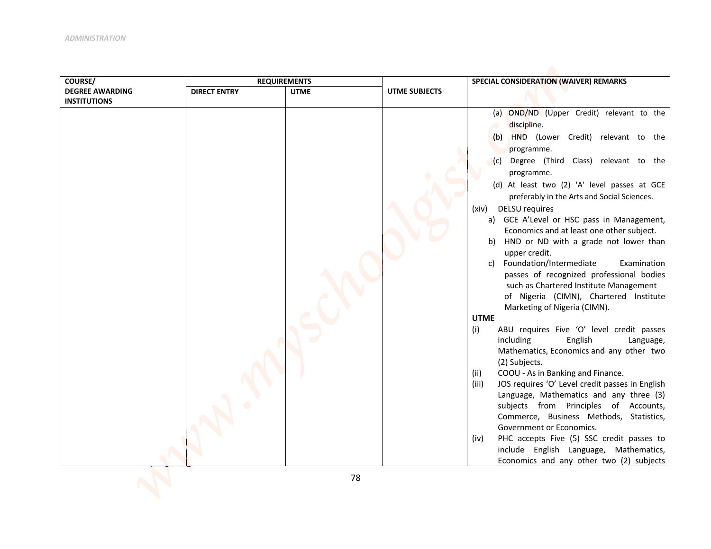| COURSE/<br><b>REQUIREMENTS</b>                                                       | SPECIAL CONSIDERATION (WAIVER) REMARKS                                                                                                                                                                                                                                                                                                                                                                                                                                                                                                                                                                                                                                                                                                                                                                                                                                                                                                                                                                                                                                                                                                                                                                                                                                   |
|--------------------------------------------------------------------------------------|--------------------------------------------------------------------------------------------------------------------------------------------------------------------------------------------------------------------------------------------------------------------------------------------------------------------------------------------------------------------------------------------------------------------------------------------------------------------------------------------------------------------------------------------------------------------------------------------------------------------------------------------------------------------------------------------------------------------------------------------------------------------------------------------------------------------------------------------------------------------------------------------------------------------------------------------------------------------------------------------------------------------------------------------------------------------------------------------------------------------------------------------------------------------------------------------------------------------------------------------------------------------------|
| <b>DEGREE AWARDING</b><br><b>DIRECT ENTRY</b><br><b>UTME</b><br><b>UTME SUBJECTS</b> |                                                                                                                                                                                                                                                                                                                                                                                                                                                                                                                                                                                                                                                                                                                                                                                                                                                                                                                                                                                                                                                                                                                                                                                                                                                                          |
| <b>INSTITUTIONS</b><br>(i)                                                           | (a) OND/ND (Upper Credit) relevant to the<br>discipline.<br>HND (Lower Credit) relevant to the<br>(b)<br>programme.<br>Degree (Third Class) relevant to the<br>(c)<br>programme.<br>(d) At least two (2) 'A' level passes at GCE<br>preferably in the Arts and Social Sciences.<br><b>DELSU</b> requires<br>(xiv)<br>a) GCE A'Level or HSC pass in Management,<br>Economics and at least one other subject.<br>HND or ND with a grade not lower than<br>b)<br>upper credit.<br>Foundation/Intermediate<br>Examination<br>C)<br>passes of recognized professional bodies<br>such as Chartered Institute Management<br>of Nigeria (CIMN), Chartered Institute<br>Marketing of Nigeria (CIMN).<br><b>UTME</b><br>ABU requires Five 'O' level credit passes<br>including<br>English<br>Language,<br>Mathematics, Economics and any other two<br>(2) Subjects.<br>COOU - As in Banking and Finance.<br>(ii)<br>JOS requires 'O' Level credit passes in English<br>(iii)<br>Language, Mathematics and any three (3)<br>subjects from Principles of Accounts,<br>Commerce, Business Methods, Statistics,<br>Government or Economics.<br>PHC accepts Five (5) SSC credit passes to<br>(iv)<br>include English Language, Mathematics,<br>Economics and any other two (2) subjects |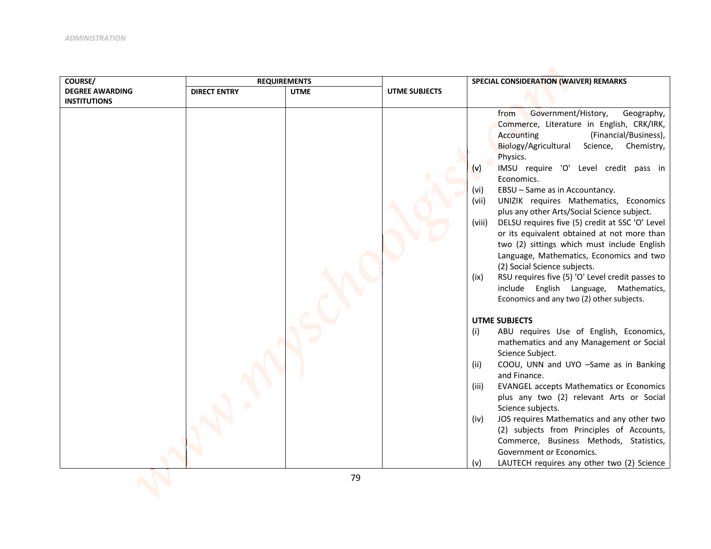| COURSE/                | <b>REQUIREMENTS</b> |             |               | SPECIAL CONSIDERATION (WAIVER) REMARKS                                                                                                                                                                                                                                                                                                                                                                                                                                                                                                                                                                                                                                                                                                                                                                                                                                                                                                                                                                                                                                                                                                  |
|------------------------|---------------------|-------------|---------------|-----------------------------------------------------------------------------------------------------------------------------------------------------------------------------------------------------------------------------------------------------------------------------------------------------------------------------------------------------------------------------------------------------------------------------------------------------------------------------------------------------------------------------------------------------------------------------------------------------------------------------------------------------------------------------------------------------------------------------------------------------------------------------------------------------------------------------------------------------------------------------------------------------------------------------------------------------------------------------------------------------------------------------------------------------------------------------------------------------------------------------------------|
| <b>DEGREE AWARDING</b> | <b>DIRECT ENTRY</b> | <b>UTME</b> | UTME SUBJECTS |                                                                                                                                                                                                                                                                                                                                                                                                                                                                                                                                                                                                                                                                                                                                                                                                                                                                                                                                                                                                                                                                                                                                         |
|                        |                     |             |               |                                                                                                                                                                                                                                                                                                                                                                                                                                                                                                                                                                                                                                                                                                                                                                                                                                                                                                                                                                                                                                                                                                                                         |
| <b>INSTITUTIONS</b>    |                     |             |               | Government/History,<br>from<br>Geography,<br>Commerce, Literature in English, CRK/IRK,<br>(Financial/Business),<br>Accounting<br>Biology/Agricultural<br>Science, Chemistry,<br>Physics.<br>IMSU require 'O' Level credit pass in<br>(v)<br>Economics.<br>(vi)<br>EBSU - Same as in Accountancy.<br>UNIZIK requires Mathematics, Economics<br>(vii)<br>plus any other Arts/Social Science subject.<br>DELSU requires five (5) credit at SSC 'O' Level<br>(viii)<br>or its equivalent obtained at not more than<br>two (2) sittings which must include English<br>Language, Mathematics, Economics and two<br>(2) Social Science subjects.<br>RSU requires five (5) 'O' Level credit passes to<br>(ix)<br>include English Language,<br>Mathematics,<br>Economics and any two (2) other subjects.<br><b>UTME SUBJECTS</b><br>ABU requires Use of English, Economics,<br>(i)<br>mathematics and any Management or Social<br>Science Subject.<br>COOU, UNN and UYO -Same as in Banking<br>(ii)<br>and Finance.<br><b>EVANGEL accepts Mathematics or Economics</b><br>(iii)<br>plus any two (2) relevant Arts or Social<br>Science subjects. |
|                        |                     |             |               | JOS requires Mathematics and any other two<br>(iv)                                                                                                                                                                                                                                                                                                                                                                                                                                                                                                                                                                                                                                                                                                                                                                                                                                                                                                                                                                                                                                                                                      |
|                        |                     |             |               | (2) subjects from Principles of Accounts,<br>Commerce, Business Methods, Statistics,                                                                                                                                                                                                                                                                                                                                                                                                                                                                                                                                                                                                                                                                                                                                                                                                                                                                                                                                                                                                                                                    |
|                        |                     |             |               | Government or Economics.                                                                                                                                                                                                                                                                                                                                                                                                                                                                                                                                                                                                                                                                                                                                                                                                                                                                                                                                                                                                                                                                                                                |
|                        |                     |             |               | LAUTECH requires any other two (2) Science<br>(v)                                                                                                                                                                                                                                                                                                                                                                                                                                                                                                                                                                                                                                                                                                                                                                                                                                                                                                                                                                                                                                                                                       |
|                        |                     | 70          |               |                                                                                                                                                                                                                                                                                                                                                                                                                                                                                                                                                                                                                                                                                                                                                                                                                                                                                                                                                                                                                                                                                                                                         |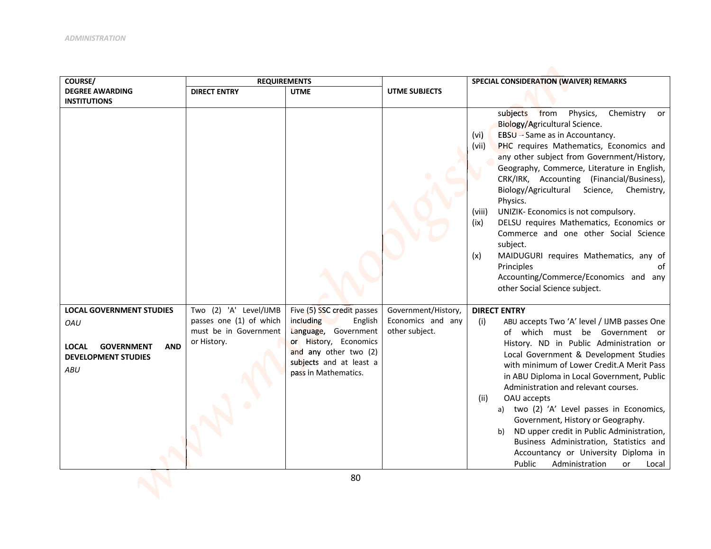| COURSE/                                                                                                                        |                                                                                           | <b>REQUIREMENTS</b>                                                                                                                                                             |                                                            | SPECIAL CONSIDERATION (WAIVER) REMARKS                                                                                                                                                                                                                                                                                                                                                                                                                                                                                                                                                                                                                                                        |  |
|--------------------------------------------------------------------------------------------------------------------------------|-------------------------------------------------------------------------------------------|---------------------------------------------------------------------------------------------------------------------------------------------------------------------------------|------------------------------------------------------------|-----------------------------------------------------------------------------------------------------------------------------------------------------------------------------------------------------------------------------------------------------------------------------------------------------------------------------------------------------------------------------------------------------------------------------------------------------------------------------------------------------------------------------------------------------------------------------------------------------------------------------------------------------------------------------------------------|--|
| <b>DEGREE AWARDING</b><br><b>INSTITUTIONS</b>                                                                                  | <b>DIRECT ENTRY</b>                                                                       | <b>UTME</b>                                                                                                                                                                     | <b>UTME SUBJECTS</b>                                       |                                                                                                                                                                                                                                                                                                                                                                                                                                                                                                                                                                                                                                                                                               |  |
|                                                                                                                                |                                                                                           |                                                                                                                                                                                 |                                                            | subjects from<br>Physics,<br>Chemistry<br>or<br>Biology/Agricultural Science.<br>EBSU - Same as in Accountancy.<br>(vi)<br>PHC requires Mathematics, Economics and<br>(vii)<br>any other subject from Government/History,<br>Geography, Commerce, Literature in English,<br>CRK/IRK, Accounting (Financial/Business),<br>Biology/Agricultural<br>Science,<br>Chemistry,<br>Physics.<br>(viii)<br>UNIZIK- Economics is not compulsory.<br>DELSU requires Mathematics, Economics or<br>(ix)<br>Commerce and one other Social Science<br>subject.<br>MAIDUGURI requires Mathematics, any of<br>(x)<br>Principles<br>of<br>Accounting/Commerce/Economics and any<br>other Social Science subject. |  |
| <b>LOCAL GOVERNMENT STUDIES</b><br>OAU<br><b>GOVERNMENT</b><br><b>AND</b><br>LOCAL<br><b>DEVELOPMENT STUDIES</b><br><b>ABU</b> | Two (2) 'A' Level/IJMB<br>passes one (1) of which<br>must be in Government<br>or History. | Five (5) SSC credit passes<br>including<br>English<br>Language, Government<br>or History, Economics<br>and any other two (2)<br>subjects and at least a<br>pass in Mathematics. | Government/History,<br>Economics and any<br>other subject. | <b>DIRECT ENTRY</b><br>(i)<br>ABU accepts Two 'A' level / IJMB passes One<br>of which must be Government or<br>History. ND in Public Administration or<br>Local Government & Development Studies<br>with minimum of Lower Credit.A Merit Pass<br>in ABU Diploma in Local Government, Public<br>Administration and relevant courses.<br>OAU accepts<br>(ii)<br>a) two (2) 'A' Level passes in Economics,<br>Government, History or Geography.<br>ND upper credit in Public Administration,<br>b)<br>Business Administration, Statistics and<br>Accountancy or University Diploma in<br>Public<br>Administration<br>Local<br>or                                                                 |  |
|                                                                                                                                |                                                                                           | 80                                                                                                                                                                              |                                                            |                                                                                                                                                                                                                                                                                                                                                                                                                                                                                                                                                                                                                                                                                               |  |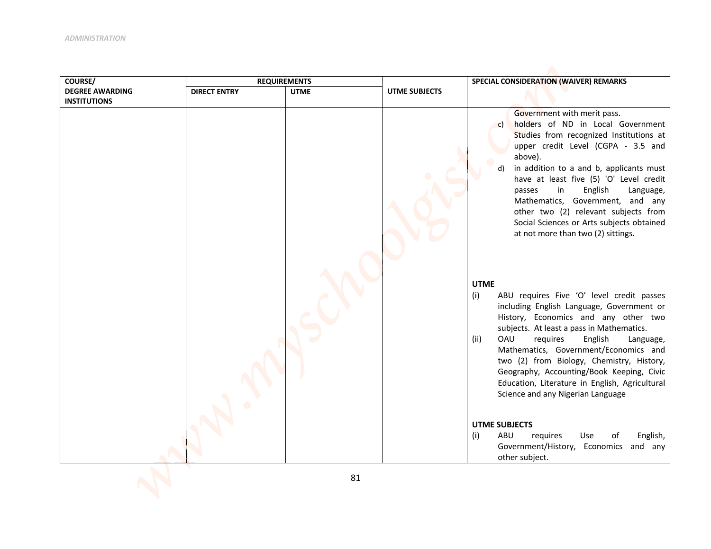| COURSE/                | <b>REQUIREMENTS</b> |             |                      | SPECIAL CONSIDERATION (WAIVER) REMARKS                                                                                                                                                                                                                                                                                                                                                                                                                                                                                                                           |  |
|------------------------|---------------------|-------------|----------------------|------------------------------------------------------------------------------------------------------------------------------------------------------------------------------------------------------------------------------------------------------------------------------------------------------------------------------------------------------------------------------------------------------------------------------------------------------------------------------------------------------------------------------------------------------------------|--|
| <b>DEGREE AWARDING</b> | <b>DIRECT ENTRY</b> | <b>UTME</b> | <b>UTME SUBJECTS</b> |                                                                                                                                                                                                                                                                                                                                                                                                                                                                                                                                                                  |  |
| <b>INSTITUTIONS</b>    |                     |             |                      |                                                                                                                                                                                                                                                                                                                                                                                                                                                                                                                                                                  |  |
|                        |                     |             |                      | Government with merit pass.<br>holders of ND in Local Government<br>$\mathsf{c}$<br>Studies from recognized Institutions at<br>upper credit Level (CGPA - 3.5 and<br>above).<br>in addition to a and b, applicants must<br>have at least five (5) 'O' Level credit<br>English<br>in<br>passes<br>Language,<br>Mathematics, Government, and any<br>other two (2) relevant subjects from<br>Social Sciences or Arts subjects obtained<br>at not more than two (2) sittings.                                                                                        |  |
|                        |                     |             |                      | <b>UTME</b><br>ABU requires Five 'O' level credit passes<br>(i)<br>including English Language, Government or<br>History, Economics and any other two<br>subjects. At least a pass in Mathematics.<br><b>OAU</b><br>(ii)<br>requires<br>English<br>Language,<br>Mathematics, Government/Economics and<br>two (2) from Biology, Chemistry, History,<br>Geography, Accounting/Book Keeping, Civic<br>Education, Literature in English, Agricultural<br>Science and any Nigerian Language<br><b>UTME SUBJECTS</b><br>(i)<br>ABU<br>requires<br>Use<br>English,<br>οf |  |
|                        |                     |             |                      | Government/History, Economics and any<br>other subject.                                                                                                                                                                                                                                                                                                                                                                                                                                                                                                          |  |
|                        |                     |             |                      |                                                                                                                                                                                                                                                                                                                                                                                                                                                                                                                                                                  |  |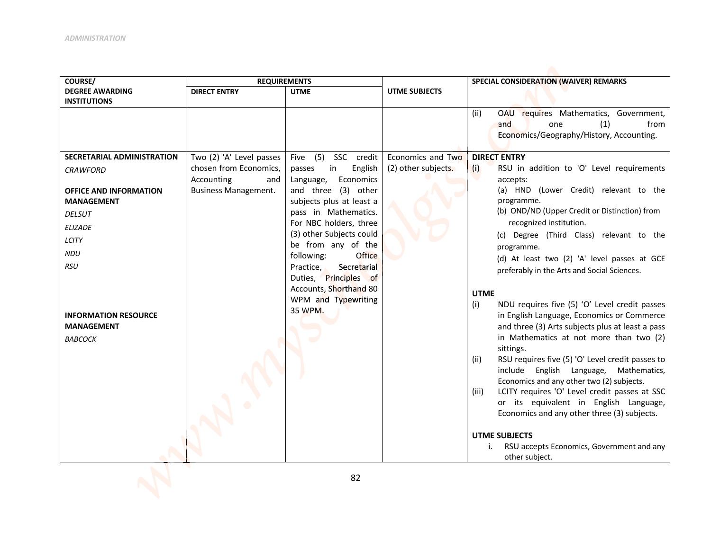| COURSE/                           | <b>REQUIREMENTS</b>         |                                                    |                      | SPECIAL CONSIDERATION (WAIVER) REMARKS                                |  |
|-----------------------------------|-----------------------------|----------------------------------------------------|----------------------|-----------------------------------------------------------------------|--|
| <b>DEGREE AWARDING</b>            | <b>DIRECT ENTRY</b>         | <b>UTME</b>                                        | <b>UTME SUBJECTS</b> |                                                                       |  |
| <b>INSTITUTIONS</b>               |                             |                                                    |                      |                                                                       |  |
|                                   |                             |                                                    |                      | OAU requires Mathematics, Government,<br>(ii)                         |  |
|                                   |                             |                                                    |                      | and<br>(1)<br>from<br>one<br>Economics/Geography/History, Accounting. |  |
|                                   |                             |                                                    |                      |                                                                       |  |
| <b>SECRETARIAL ADMINISTRATION</b> | Two (2) 'A' Level passes    | Five (5)<br>SSC credit                             | Economics and Two    | <b>DIRECT ENTRY</b>                                                   |  |
| <b>CRAWFORD</b>                   | chosen from Economics,      | English<br>passes<br>in                            | (2) other subjects.  | RSU in addition to 'O' Level requirements<br>(i)                      |  |
|                                   | Accounting<br>and           | Economics<br>Language,                             |                      | accepts:                                                              |  |
| <b>OFFICE AND INFORMATION</b>     | <b>Business Management.</b> | and three (3) other                                |                      | (a) HND (Lower Credit) relevant to the                                |  |
| <b>MANAGEMENT</b>                 |                             | subjects plus at least a                           |                      | programme.                                                            |  |
| <b>DELSUT</b>                     |                             | pass in Mathematics.                               |                      | (b) OND/ND (Upper Credit or Distinction) from                         |  |
| <b>ELIZADE</b>                    |                             | For NBC holders, three<br>(3) other Subjects could |                      | recognized institution.<br>(c) Degree (Third Class) relevant to the   |  |
| LCITY                             |                             | be from any of the                                 |                      | programme.                                                            |  |
| <b>NDU</b>                        |                             | following:<br>Office                               |                      | (d) At least two (2) 'A' level passes at GCE                          |  |
| <b>RSU</b>                        |                             | Secretarial<br>Practice,                           |                      | preferably in the Arts and Social Sciences.                           |  |
|                                   |                             | Duties, Principles of                              |                      |                                                                       |  |
|                                   |                             | Accounts, Shorthand 80                             |                      | <b>UTME</b>                                                           |  |
|                                   |                             | WPM and Typewriting                                |                      | NDU requires five (5) 'O' Level credit passes<br>(i)                  |  |
| <b>INFORMATION RESOURCE</b>       |                             | 35 WPM.                                            |                      | in English Language, Economics or Commerce                            |  |
| <b>MANAGEMENT</b>                 |                             |                                                    |                      | and three (3) Arts subjects plus at least a pass                      |  |
| <b>BABCOCK</b>                    |                             |                                                    |                      | in Mathematics at not more than two (2)                               |  |
|                                   |                             |                                                    |                      | sittings.                                                             |  |
|                                   |                             |                                                    |                      | RSU requires five (5) 'O' Level credit passes to<br>(ii)              |  |
|                                   |                             |                                                    |                      | include English Language, Mathematics,                                |  |
|                                   |                             |                                                    |                      | Economics and any other two (2) subjects.                             |  |
|                                   |                             |                                                    |                      | LCITY requires 'O' Level credit passes at SSC<br>(iii)                |  |
|                                   |                             |                                                    |                      | or its equivalent in English Language,                                |  |
|                                   |                             |                                                    |                      | Economics and any other three (3) subjects.                           |  |
|                                   |                             |                                                    |                      | <b>UTME SUBJECTS</b>                                                  |  |
|                                   |                             |                                                    |                      | RSU accepts Economics, Government and any<br>i.                       |  |
|                                   |                             |                                                    |                      | other subject.                                                        |  |
|                                   |                             |                                                    |                      |                                                                       |  |
|                                   |                             | 82                                                 |                      |                                                                       |  |
|                                   |                             |                                                    |                      |                                                                       |  |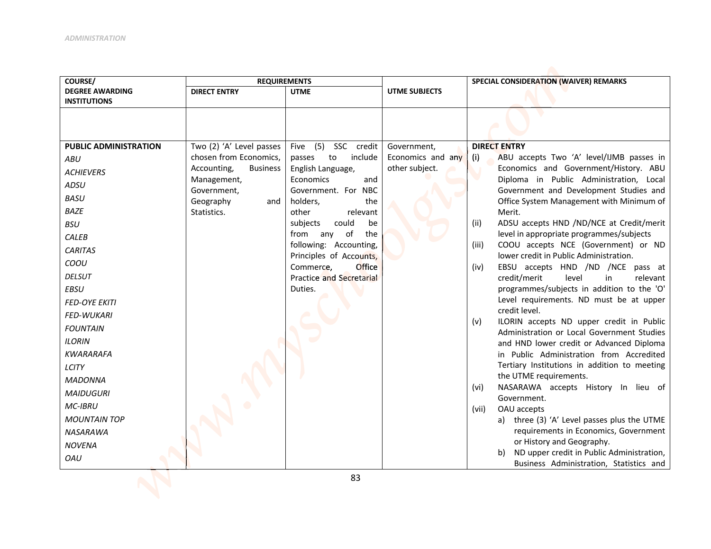| COURSE/                      | <b>REQUIREMENTS</b>             |                                                        |                      | SPECIAL CONSIDERATION (WAIVER) REMARKS                                               |  |
|------------------------------|---------------------------------|--------------------------------------------------------|----------------------|--------------------------------------------------------------------------------------|--|
| <b>DEGREE AWARDING</b>       | <b>DIRECT ENTRY</b>             | <b>UTME</b>                                            | <b>UTME SUBJECTS</b> |                                                                                      |  |
| <b>INSTITUTIONS</b>          |                                 |                                                        |                      |                                                                                      |  |
|                              |                                 |                                                        |                      |                                                                                      |  |
|                              |                                 |                                                        |                      |                                                                                      |  |
| <b>PUBLIC ADMINISTRATION</b> | Two (2) 'A' Level passes        | Five (5) SSC credit                                    | Government,          | <b>DIRECT ENTRY</b>                                                                  |  |
| ABU                          | chosen from Economics,          | include<br>to<br>passes                                | Economics and any    | ABU accepts Two 'A' level/IJMB passes in<br>(i)                                      |  |
| <b>ACHIEVERS</b>             | Accounting,<br><b>Business</b>  | English Language,                                      | other subject.       | Economics and Government/History. ABU                                                |  |
| ADSU                         | Management,                     | Economics<br>and                                       |                      | Diploma in Public Administration, Local                                              |  |
| <b>BASU</b>                  | Government,<br>Geography<br>and | Government. For NBC<br>holders,<br>the                 |                      | Government and Development Studies and<br>Office System Management with Minimum of   |  |
| <b>BAZE</b>                  | Statistics.                     | other<br>relevant                                      |                      | Merit.                                                                               |  |
| <b>BSU</b>                   |                                 | could<br>subjects<br>be                                |                      | ADSU accepts HND /ND/NCE at Credit/merit<br>(ii)                                     |  |
| CALEB                        |                                 | of<br>from any<br>the                                  |                      | level in appropriate programmes/subjects                                             |  |
| <b>CARITAS</b>               |                                 | following: Accounting,                                 |                      | COOU accepts NCE (Government) or ND<br>(iii)                                         |  |
| COOU                         |                                 | Principles of Accounts,                                |                      | lower credit in Public Administration.                                               |  |
| <b>DELSUT</b>                |                                 | Office<br>Commerce,<br><b>Practice and Secretarial</b> |                      | EBSU accepts HND /ND /NCE pass at<br>(iv)<br>credit/merit<br>level<br>relevant<br>in |  |
| EBSU                         |                                 | Duties.                                                |                      | programmes/subjects in addition to the 'O'                                           |  |
| <b>FED-OYE EKITI</b>         |                                 |                                                        |                      | Level requirements. ND must be at upper                                              |  |
| <b>FED-WUKARI</b>            |                                 |                                                        |                      | credit level.                                                                        |  |
| <b>FOUNTAIN</b>              |                                 |                                                        |                      | ILORIN accepts ND upper credit in Public<br>(v)                                      |  |
| <b>ILORIN</b>                |                                 |                                                        |                      | Administration or Local Government Studies                                           |  |
| <b>KWARARAFA</b>             |                                 |                                                        |                      | and HND lower credit or Advanced Diploma<br>in Public Administration from Accredited |  |
| LCITY                        |                                 |                                                        |                      | Tertiary Institutions in addition to meeting                                         |  |
|                              |                                 |                                                        |                      | the UTME requirements.                                                               |  |
| <b>MADONNA</b>               |                                 |                                                        |                      | NASARAWA accepts History In lieu of<br>(vi)                                          |  |
| <b>MAIDUGURI</b>             |                                 |                                                        |                      | Government.                                                                          |  |
| <b>MC-IBRU</b>               |                                 |                                                        |                      | (vii)<br>OAU accepts                                                                 |  |
| <b>MOUNTAIN TOP</b>          |                                 |                                                        |                      | a) three (3) 'A' Level passes plus the UTME                                          |  |
| <b>NASARAWA</b>              |                                 |                                                        |                      | requirements in Economics, Government<br>or History and Geography.                   |  |
| <b>NOVENA</b>                |                                 |                                                        |                      | b) ND upper credit in Public Administration,                                         |  |
| OAU                          |                                 |                                                        |                      | Business Administration, Statistics and                                              |  |
|                              |                                 | 83                                                     |                      |                                                                                      |  |
|                              |                                 |                                                        |                      |                                                                                      |  |
|                              |                                 |                                                        |                      |                                                                                      |  |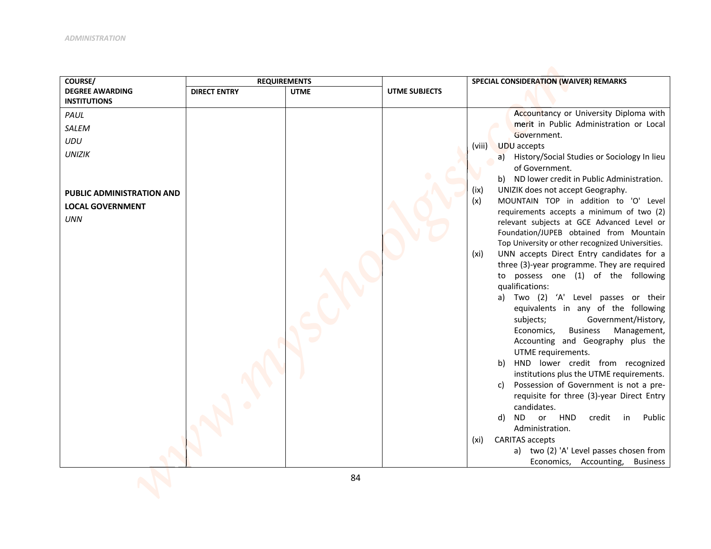| COURSE/                          | <b>REQUIREMENTS</b> |             |                      | SPECIAL CONSIDERATION (WAIVER) REMARKS                                                |  |
|----------------------------------|---------------------|-------------|----------------------|---------------------------------------------------------------------------------------|--|
| <b>DEGREE AWARDING</b>           | <b>DIRECT ENTRY</b> | <b>UTME</b> | <b>UTME SUBJECTS</b> |                                                                                       |  |
| <b>INSTITUTIONS</b>              |                     |             |                      |                                                                                       |  |
| PAUL                             |                     |             |                      | Accountancy or University Diploma with<br>merit in Public Administration or Local     |  |
| <b>SALEM</b>                     |                     |             |                      | Government.                                                                           |  |
| <b>UDU</b>                       |                     |             |                      | <b>UDU</b> accepts<br>(viii)                                                          |  |
| <b>UNIZIK</b>                    |                     |             |                      | a) History/Social Studies or Sociology In lieu                                        |  |
|                                  |                     |             |                      | of Government.                                                                        |  |
|                                  |                     |             |                      | b) ND lower credit in Public Administration.                                          |  |
| <b>PUBLIC ADMINISTRATION AND</b> |                     |             |                      | UNIZIK does not accept Geography.<br>(ix)                                             |  |
| <b>LOCAL GOVERNMENT</b>          |                     |             |                      | MOUNTAIN TOP in addition to 'O' Level<br>(x)                                          |  |
| <b>UNN</b>                       |                     |             |                      | requirements accepts a minimum of two (2)                                             |  |
|                                  |                     |             |                      | relevant subjects at GCE Advanced Level or<br>Foundation/JUPEB obtained from Mountain |  |
|                                  |                     |             |                      | Top University or other recognized Universities.                                      |  |
|                                  |                     |             |                      | UNN accepts Direct Entry candidates for a<br>(xi)                                     |  |
|                                  |                     |             |                      | three (3)-year programme. They are required                                           |  |
|                                  |                     |             |                      | to possess one (1) of the following                                                   |  |
|                                  |                     |             |                      | qualifications:                                                                       |  |
|                                  |                     |             |                      | a) Two (2) 'A' Level passes or their                                                  |  |
|                                  |                     |             |                      | equivalents in any of the following                                                   |  |
|                                  |                     |             |                      | subjects;<br>Government/History,                                                      |  |
|                                  |                     |             |                      | <b>Business</b><br>Management,<br>Economics,<br>Accounting and Geography plus the     |  |
|                                  |                     |             |                      | UTME requirements.                                                                    |  |
|                                  |                     |             |                      | HND lower credit from recognized<br>b)                                                |  |
|                                  |                     |             |                      | institutions plus the UTME requirements.                                              |  |
|                                  |                     |             |                      | Possession of Government is not a pre-<br>C)                                          |  |
|                                  |                     |             |                      | requisite for three (3)-year Direct Entry                                             |  |
|                                  |                     |             |                      | candidates.                                                                           |  |
|                                  |                     |             |                      | <b>HND</b><br>credit<br>ND or<br>in<br>Public<br>d)                                   |  |
|                                  |                     |             |                      | Administration.<br><b>CARITAS accepts</b><br>(xi)                                     |  |
|                                  |                     |             |                      | a) two (2) 'A' Level passes chosen from                                               |  |
|                                  |                     |             |                      | Economics, Accounting, Business                                                       |  |
|                                  |                     |             |                      |                                                                                       |  |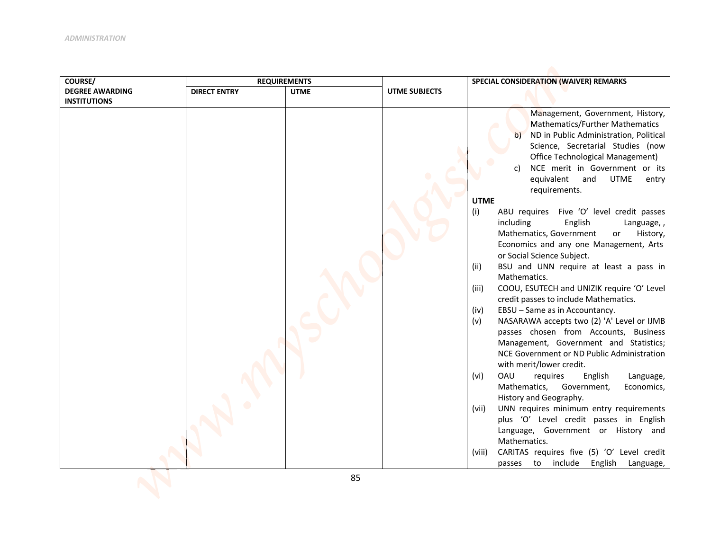| COURSE/                | <b>REQUIREMENTS</b> |             |                      | SPECIAL CONSIDERATION (WAIVER) REMARKS                                                                                                                                                                                                                                                                                                                                                                                                                                                                                                                                                                                                                                                                                                                                                                                                                                                                                                                                                                                                                                                                                                                                                                                                                                                                                                     |  |
|------------------------|---------------------|-------------|----------------------|--------------------------------------------------------------------------------------------------------------------------------------------------------------------------------------------------------------------------------------------------------------------------------------------------------------------------------------------------------------------------------------------------------------------------------------------------------------------------------------------------------------------------------------------------------------------------------------------------------------------------------------------------------------------------------------------------------------------------------------------------------------------------------------------------------------------------------------------------------------------------------------------------------------------------------------------------------------------------------------------------------------------------------------------------------------------------------------------------------------------------------------------------------------------------------------------------------------------------------------------------------------------------------------------------------------------------------------------|--|
| <b>DEGREE AWARDING</b> | <b>DIRECT ENTRY</b> | <b>UTME</b> | <b>UTME SUBJECTS</b> |                                                                                                                                                                                                                                                                                                                                                                                                                                                                                                                                                                                                                                                                                                                                                                                                                                                                                                                                                                                                                                                                                                                                                                                                                                                                                                                                            |  |
| <b>INSTITUTIONS</b>    |                     |             |                      |                                                                                                                                                                                                                                                                                                                                                                                                                                                                                                                                                                                                                                                                                                                                                                                                                                                                                                                                                                                                                                                                                                                                                                                                                                                                                                                                            |  |
|                        |                     |             |                      | Management, Government, History,<br>Mathematics/Further Mathematics<br>b)<br>ND in Public Administration, Political<br>Science, Secretarial Studies (now<br>Office Technological Management)<br>NCE merit in Government or its<br>equivalent and<br><b>UTME</b><br>entry<br>requirements.<br><b>UTME</b><br>ABU requires Five 'O' level credit passes<br>(i)<br>including<br>English<br>Language,,<br>Mathematics, Government<br>History,<br>or<br>Economics and any one Management, Arts<br>or Social Science Subject.<br>BSU and UNN require at least a pass in<br>(ii)<br>Mathematics.<br>COOU, ESUTECH and UNIZIK require 'O' Level<br>(iii)<br>credit passes to include Mathematics.<br>EBSU - Same as in Accountancy.<br>(iv)<br>NASARAWA accepts two (2) 'A' Level or IJMB<br>(v)<br>passes chosen from Accounts, Business<br>Management, Government and Statistics;<br>NCE Government or ND Public Administration<br>with merit/lower credit.<br>OAU<br>requires<br>English<br>(vi)<br>Language,<br>Mathematics,<br>Government,<br>Economics,<br>History and Geography.<br>UNN requires minimum entry requirements<br>(vii)<br>plus 'O' Level credit passes in English<br>Language, Government or History and<br>Mathematics.<br>CARITAS requires five (5) 'O' Level credit<br>(viii)<br>to include English<br>Language,<br>passes |  |
|                        |                     |             |                      |                                                                                                                                                                                                                                                                                                                                                                                                                                                                                                                                                                                                                                                                                                                                                                                                                                                                                                                                                                                                                                                                                                                                                                                                                                                                                                                                            |  |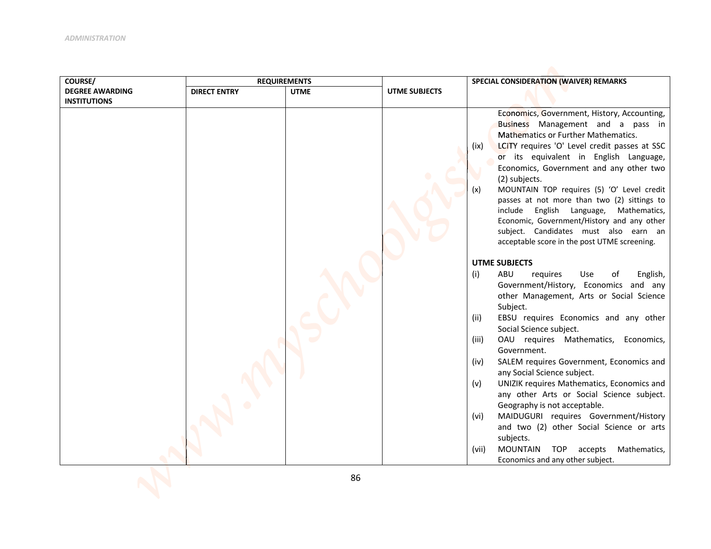| <b>DEGREE AWARDING</b><br><b>DIRECT ENTRY</b><br><b>UTME</b><br>UTME SUBJECTS<br><b>INSTITUTIONS</b> |                                                                                                                                                                                                                                                                                                                                                                                                                                                                                                                                                                                                                                                                                                                                                                                                                                                                                                                                                                                                                                                                                                                                                                                                                                                                                                                    |
|------------------------------------------------------------------------------------------------------|--------------------------------------------------------------------------------------------------------------------------------------------------------------------------------------------------------------------------------------------------------------------------------------------------------------------------------------------------------------------------------------------------------------------------------------------------------------------------------------------------------------------------------------------------------------------------------------------------------------------------------------------------------------------------------------------------------------------------------------------------------------------------------------------------------------------------------------------------------------------------------------------------------------------------------------------------------------------------------------------------------------------------------------------------------------------------------------------------------------------------------------------------------------------------------------------------------------------------------------------------------------------------------------------------------------------|
|                                                                                                      |                                                                                                                                                                                                                                                                                                                                                                                                                                                                                                                                                                                                                                                                                                                                                                                                                                                                                                                                                                                                                                                                                                                                                                                                                                                                                                                    |
|                                                                                                      |                                                                                                                                                                                                                                                                                                                                                                                                                                                                                                                                                                                                                                                                                                                                                                                                                                                                                                                                                                                                                                                                                                                                                                                                                                                                                                                    |
| (x)<br>(i)<br>(ii)                                                                                   | Economics, Government, History, Accounting,<br>Business Management and a pass in<br><b>Mathematics or Further Mathematics.</b><br>LCITY requires 'O' Level credit passes at SSC<br>(ix)<br>or its equivalent in English Language,<br>Economics, Government and any other two<br>(2) subjects.<br>MOUNTAIN TOP requires (5) 'O' Level credit<br>passes at not more than two (2) sittings to<br>include English Language, Mathematics,<br>Economic, Government/History and any other<br>subject. Candidates must also earn an<br>acceptable score in the post UTME screening.<br><b>UTME SUBJECTS</b><br>ABU<br>Use<br>of<br>English,<br>requires<br>Government/History, Economics and any<br>other Management, Arts or Social Science<br>Subject.<br>EBSU requires Economics and any other<br>Social Science subject.<br>OAU requires Mathematics, Economics,<br>(iii)<br>Government.<br>SALEM requires Government, Economics and<br>(iv)<br>any Social Science subject.<br>UNIZIK requires Mathematics, Economics and<br>(v)<br>any other Arts or Social Science subject.<br>Geography is not acceptable.<br>MAIDUGURI requires Government/History<br>(vi)<br>and two (2) other Social Science or arts<br>subjects.<br><b>MOUNTAIN</b><br>TOP accepts<br>(vii)<br>Mathematics,<br>Economics and any other subject. |